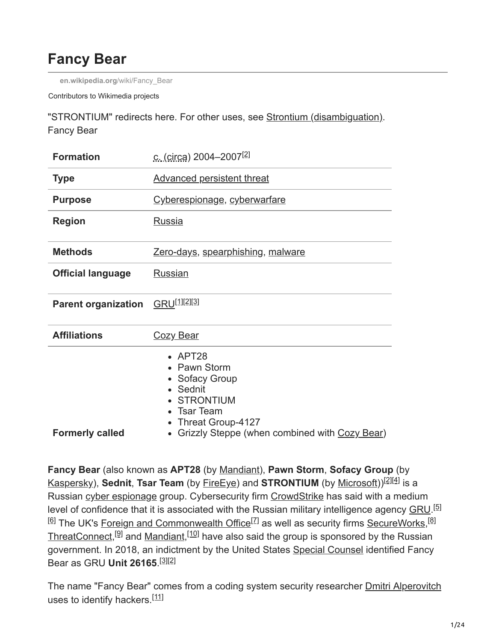# **Fancy Bear**

**[en.wikipedia.org](https://en.wikipedia.org/wiki/Fancy_Bear)**/wiki/Fancy\_Bear

Contributors to Wikimedia projects

"STRONTIUM" redirects here. For other uses, see [Strontium \(disambiguation\)](https://en.wikipedia.org/wiki/Strontium_(disambiguation)). Fancy Bear

| <b>Formation</b>           | c. (circa) 2004–2007 <sup>[2]</sup>                                                                                                                                                      |  |  |
|----------------------------|------------------------------------------------------------------------------------------------------------------------------------------------------------------------------------------|--|--|
| <b>Type</b>                | <b>Advanced persistent threat</b>                                                                                                                                                        |  |  |
| <b>Purpose</b>             | Cyberespionage, cyberwarfare                                                                                                                                                             |  |  |
| <b>Region</b>              | Russia                                                                                                                                                                                   |  |  |
| <b>Methods</b>             | Zero-days, spearphishing, malware                                                                                                                                                        |  |  |
| <b>Official language</b>   | Russian                                                                                                                                                                                  |  |  |
| <b>Parent organization</b> | GRU <sup>[1][2][3]</sup>                                                                                                                                                                 |  |  |
| <b>Affiliations</b>        | <u>Cozy Bear</u>                                                                                                                                                                         |  |  |
| <b>Formerly called</b>     | $\bullet$ APT28<br>• Pawn Storm<br>• Sofacy Group<br>• Sednit<br><b>STRONTIUM</b><br><b>Tsar Team</b><br>Threat Group-4127<br>Grizzly Steppe (when combined with Cozy Bear)<br>$\bullet$ |  |  |

**Fancy Bear** (also known as **APT28** (by [Mandiant](https://en.wikipedia.org/wiki/Mandiant)), **Pawn Storm**, **Sofacy Group** (by [Kaspersky](https://en.wikipedia.org/wiki/Kaspersky_Lab)), **Sednit**, Ts**ar Team** (by <u>FireEye</u>) and STRONTIUM (by <u>Microsoft</u>))<sup>[2][4]</sup> is a Russian [cyber espionage](https://en.wikipedia.org/wiki/Cyber_spying) group. Cybersecurity firm [CrowdStrike](https://en.wikipedia.org/wiki/CrowdStrike) has said with a medium level of confidence that it is associated with the Russian military intelligence agency [GRU.](https://en.wikipedia.org/wiki/Main_Intelligence_Directorate)<sup>[5]</sup> <sup>[6]</sup> The UK's <u>Foreign and Commonwealth Office<sup>[7]</sup> as well as security firms [SecureWorks,](https://en.wikipedia.org/wiki/SecureWorks)<sup>[8]</sup></u> [ThreatConnect](https://en.wikipedia.org/wiki/ThreatConnect),<sup>[9]</sup> and [Mandiant,](https://en.wikipedia.org/wiki/Mandiant)<sup>[10]</sup> have also said the group is sponsored by the Russian government. In 2018, an indictment by the United States [Special Counsel](https://en.wikipedia.org/wiki/Special_Counsel_investigation_(2017%E2%80%93present)) identified Fancy Bear as GRU **Unit 26165**. [3][2]

The name "Fancy Bear" comes from a coding system security researcher **[Dmitri Alperovitch](https://en.wikipedia.org/wiki/Dmitri_Alperovitch)** uses to identify hackers.<sup>[11]</sup>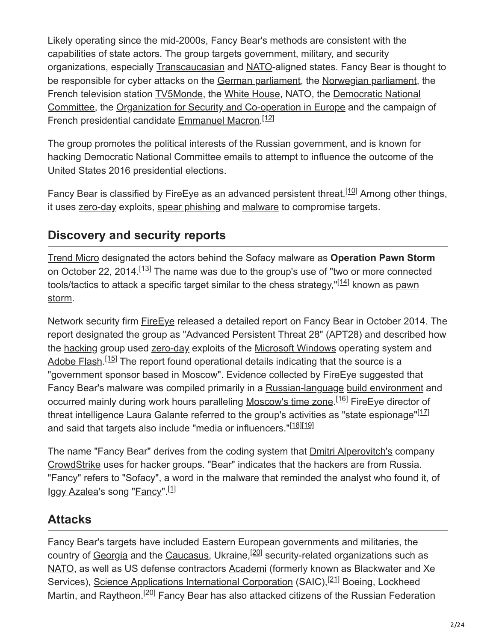Likely operating since the mid-2000s, Fancy Bear's methods are consistent with the capabilities of state actors. The group targets government, military, and security organizations, especially [Transcaucasian](https://en.wikipedia.org/wiki/Transcaucasia) and [NATO](https://en.wikipedia.org/wiki/NATO)-aligned states. Fancy Bear is thought to be responsible for cyber attacks on the [German parliament](https://en.wikipedia.org/wiki/Bundestag), the [Norwegian parliament](https://en.wikipedia.org/wiki/Storting), the French television station [TV5Monde](https://en.wikipedia.org/wiki/TV5Monde), the [White House,](https://en.wikipedia.org/wiki/White_House) NATO, the Democratic National [Committee, the Organization for Security and Co-operation in Europe and the campaign](https://en.wikipedia.org/wiki/Democratic_National_Committee) of French presidential candidate **[Emmanuel Macron](https://en.wikipedia.org/wiki/Emmanuel_Macron).**<sup>[12]</sup>

The group promotes the political interests of the Russian government, and is known for hacking Democratic National Committee emails to attempt to influence the outcome of the United States 2016 presidential elections.

Fancy Bear is classified by FireEye as an [advanced persistent threat](https://en.wikipedia.org/wiki/Advanced_persistent_threat).<sup>[10]</sup> Among other things, it uses [zero-day](https://en.wikipedia.org/wiki/Zero-day_(computing)) exploits, [spear phishing](https://en.wikipedia.org/wiki/Spear_phishing) and [malware](https://en.wikipedia.org/wiki/Malware) to compromise targets.

## **Discovery and security reports**

[Trend Micro](https://en.wikipedia.org/wiki/Trend_Micro) designated the actors behind the Sofacy malware as **Operation Pawn Storm** on October 22, 2014.<sup>[13]</sup> The name was due to the group's use of "two or more connected tools/tactics to attack a specific target similar to the chess strategy,"<sup>[14]</sup> known as <u>pawn</u> storm.

Network security firm [FireEye](https://en.wikipedia.org/wiki/FireEye) released a detailed report on Fancy Bear in October 2014. The report designated the group as "Advanced Persistent Threat 28" (APT28) and described how the [hacking](https://en.wikipedia.org/wiki/Hacker_(computer_security)) group used [zero-day](https://en.wikipedia.org/wiki/Zero-day_(computing)) exploits of the [Microsoft Windows](https://en.wikipedia.org/wiki/Microsoft_Windows) operating system and [Adobe Flash](https://en.wikipedia.org/wiki/Adobe_Flash).<sup>[15]</sup> The report found operational details indicating that the source is a "government sponsor based in Moscow". Evidence collected by FireEye suggested that Fancy Bear's malware was compiled primarily in a [Russian-language](https://en.wikipedia.org/wiki/Russian-language) [build environment](https://en.wikipedia.org/wiki/Computer_Russification) and occurred mainly during work hours paralleling [Moscow's time zone.](https://en.wikipedia.org/wiki/Moscow_Time)<sup>[16]</sup> FireEye director of threat intelligence Laura Galante referred to the group's activities as "state espionage"<sup>[17]</sup> and said that targets also include "media or influencers."<sup>[18][19]</sup>

The name "Fancy Bear" derives from the coding system that [Dmitri Alperovitch's](https://en.wikipedia.org/wiki/Dmitri_Alperovitch) company [CrowdStrike](https://en.wikipedia.org/wiki/CrowdStrike) uses for hacker groups. "Bear" indicates that the hackers are from Russia. "Fancy" refers to "Sofacy", a word in the malware that reminded the analyst who found it, of <u>[Iggy Azalea](https://en.wikipedia.org/wiki/Iggy_Azalea)</u>'s song "<u>Fancy</u>".<sup>[1]</sup>

## **Attacks**

Fancy Bear's targets have included Eastern European governments and militaries, the country of [Georgia](https://en.wikipedia.org/wiki/Georgia_(country)) and the [Caucasus,](https://en.wikipedia.org/wiki/Caucasus) Ukraine,<sup>[20]</sup> security-related organizations such as [NATO,](https://en.wikipedia.org/wiki/NATO) as well as US defense contractors [Academi](https://en.wikipedia.org/wiki/Academi) (formerly known as Blackwater and Xe Services), [Science Applications International Corporation](https://en.wikipedia.org/wiki/Science_Applications_International_Corporation) (SAIC),<sup>[21]</sup> Boeing, Lockheed Martin, and Raytheon.<sup>[20]</sup> Fancy Bear has also attacked citizens of the Russian Federation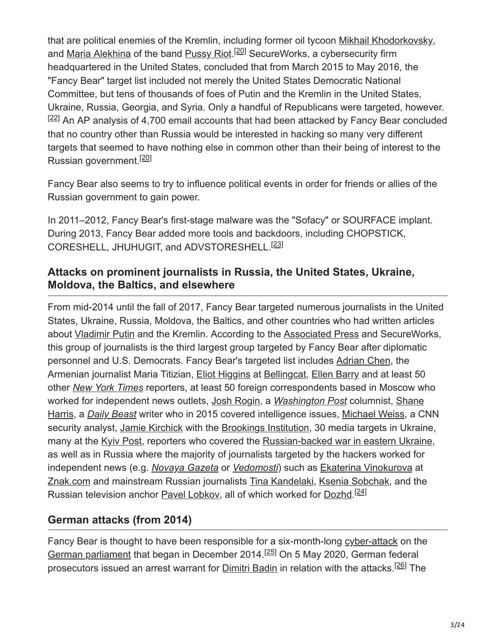that are political enemies of the Kremlin, including former oil tycoon [Mikhail Khodorkovsky,](https://en.wikipedia.org/wiki/Mikhail_Khodorkovsky) and <u>Maria Alekhina</u> of the band [Pussy Riot.](https://en.wikipedia.org/wiki/Pussy_Riot)<sup>[20]</sup> SecureWorks, a cybersecurity firm headquartered in the United States, concluded that from March 2015 to May 2016, the "Fancy Bear" target list included not merely the United States Democratic National Committee, but tens of thousands of foes of Putin and the Kremlin in the United States, Ukraine, Russia, Georgia, and Syria. Only a handful of Republicans were targeted, however.  $[22]$  An AP analysis of 4,700 email accounts that had been attacked by Fancy Bear concluded that no country other than Russia would be interested in hacking so many very different targets that seemed to have nothing else in common other than their being of interest to the Russian government.<sup>[20]</sup>

Fancy Bear also seems to try to influence political events in order for friends or allies of the Russian government to gain power.

In 2011–2012, Fancy Bear's first-stage malware was the "Sofacy" or SOURFACE implant. During 2013, Fancy Bear added more tools and backdoors, including CHOPSTICK, CORESHELL, JHUHUGIT, and ADVSTORESHELL. [23]

#### **Attacks on prominent journalists in Russia, the United States, Ukraine, Moldova, the Baltics, and elsewhere**

From mid-2014 until the fall of 2017, Fancy Bear targeted numerous journalists in the United States, Ukraine, Russia, Moldova, the Baltics, and other countries who had written articles about [Vladimir Putin](https://en.wikipedia.org/wiki/Vladimir_Putin) and the Kremlin. According to the **Associated Press** and SecureWorks, this group of journalists is the third largest group targeted by Fancy Bear after diplomatic personnel and U.S. Democrats. Fancy Bear's targeted list includes [Adrian Chen](https://en.wikipedia.org/wiki/Adrian_Chen), the Armenian journalist Maria Titizian, [Eliot Higgins](https://en.wikipedia.org/wiki/Eliot_Higgins) at [Bellingcat](https://en.wikipedia.org/wiki/Bellingcat), [Ellen Barry](https://en.wikipedia.org/wiki/Ellen_Barry_(journalist)) and at least 50 other *[New York Times](https://en.wikipedia.org/wiki/New_York_Times)* reporters, at least 50 foreign correspondents based in Moscow who worked for independent news outlets, [Josh Rogin](https://en.wikipedia.org/wiki/Josh_Rogin), a *[Washington Post](https://en.wikipedia.org/wiki/Washington_Post)* columnist, Shane Harris, a *[Daily Beast](https://en.wikipedia.org/wiki/The_Daily_Beast)* [writer who in 2015 covered intelligence issues, Michael Weiss, a C](https://en.wikipedia.org/wiki/Shane_Harris)NN security analyst, [Jamie Kirchick](https://en.wikipedia.org/wiki/Jamie_Kirchick) with the [Brookings Institution,](https://en.wikipedia.org/wiki/Brookings_Institution) 30 media targets in Ukraine, many at the [Kyiv Post](https://en.wikipedia.org/wiki/Kyiv_Post), reporters who covered the [Russian-backed war in eastern Ukraine,](https://en.wikipedia.org/wiki/Russian_military_intervention_in_Ukraine_(2014%E2%80%93present)) as well as in Russia where the majority of journalists targeted by the hackers worked for independent news (e.g. *[Novaya Gazeta](https://en.wikipedia.org/wiki/Novaya_Gazeta)* or *[Vedomosti](https://en.wikipedia.org/wiki/Vedomosti)*) such as [Ekaterina Vinokurova](https://ru.wikipedia.org/wiki/%D0%92%D0%B8%D0%BD%D0%BE%D0%BA%D1%83%D1%80%D0%BE%D0%B2%D0%B0,_%D0%95%D0%BA%D0%B0%D1%82%D0%B5%D1%80%D0%B8%D0%BD%D0%B0_%D0%92%D0%BB%D0%B0%D0%B4%D0%B8%D0%BC%D0%B8%D1%80%D0%BE%D0%B2%D0%BD%D0%B0) at [Znak.com](https://ru.wikipedia.org/wiki/Znak.com) and mainstream Russian journalists [Tina Kandelaki](https://en.wikipedia.org/wiki/Tina_Kandelaki), [Ksenia Sobchak,](https://en.wikipedia.org/wiki/Ksenia_Sobchak) and the Russian television anchor **[Pavel Lobkov](https://ru.wikipedia.org/wiki/%D0%9B%D0%BE%D0%B1%D0%BA%D0%BE%D0%B2,_%D0%9F%D0%B0%D0%B2%D0%B5%D0%BB_%D0%90%D0%BB%D1%8C%D0%B1%D0%B5%D1%80%D1%82%D0%BE%D0%B2%D0%B8%D1%87)**, all of which worked for [Dozhd](https://en.wikipedia.org/wiki/Dozhd).<sup>[24]</sup>

### **German attacks (from 2014)**

Fancy Bear is thought to have been responsible for a six-month-long [cyber-attack](https://en.wikipedia.org/wiki/Cyber-attack) on the [German parliament](https://en.wikipedia.org/wiki/Bundestag) that began in December 2014.<sup>[25]</sup> On 5 May 2020, German federal prosecutors issued an arrest warrant for **Dimitri Badin** in relation with the attacks.<sup>[26]</sup> The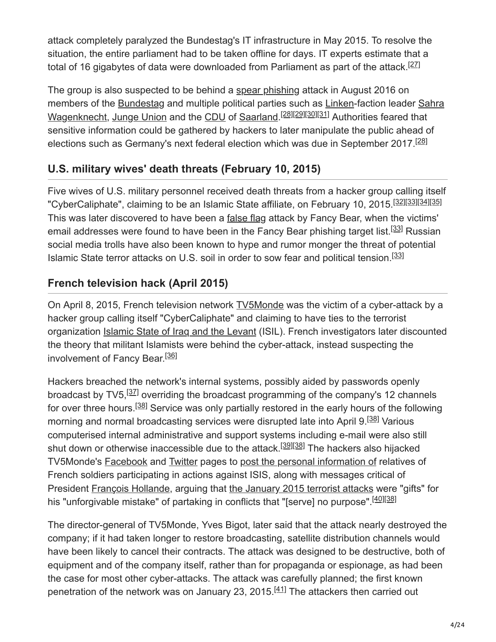attack completely paralyzed the Bundestag's IT infrastructure in May 2015. To resolve the situation, the entire parliament had to be taken offline for days. IT experts estimate that a total of 16 gigabytes of data were downloaded from Parliament as part of the attack.<sup>[27]</sup>

The group is also suspected to be behind a [spear phishing](https://en.wikipedia.org/wiki/Spear_phishing) attack in August 2016 on [members of the Bundestag and multiple political parties such as Linken-faction leader Sahra](https://en.wikipedia.org/wiki/Sahra_Wagenknecht) <u>Wagenknecht, Junge Union</u> and the <u>CDU</u> of <u>[Saarland.](https://en.wikipedia.org/wiki/Saarland)<sup>[28][29][30][31]</u> Authorities feared that</u></sup> sensitive information could be gathered by hackers to later manipulate the public ahead of elections such as Germany's next federal election which was due in September 2017.<sup>[28]</sup>

### **U.S. military wives' death threats (February 10, 2015)**

Five wives of U.S. military personnel received death threats from a hacker group calling itself "CyberCaliphate", claiming to be an Islamic State affiliate, on February 10, 2015.<sup>[32][33][34][35]</sup> This was later discovered to have been a [false flag](https://en.wikipedia.org/wiki/False_flag) attack by Fancy Bear, when the victims' email addresses were found to have been in the Fancy Bear phishing target list.<sup>[33]</sup> Russian social media trolls have also been known to hype and rumor monger the threat of potential Islamic State terror attacks on U.S. soil in order to sow fear and political tension.<sup>[33]</sup>

### **French television hack (April 2015)**

On April 8, 2015, French television network [TV5Monde](https://en.wikipedia.org/wiki/TV5Monde) was the victim of a cyber-attack by a hacker group calling itself "CyberCaliphate" and claiming to have ties to the terrorist organization [Islamic State of Iraq and the Levant](https://en.wikipedia.org/wiki/Islamic_State_of_Iraq_and_the_Levant) (ISIL). French investigators later discounted the theory that militant Islamists were behind the cyber-attack, instead suspecting the involvement of Fancy Bear.<sup>[36]</sup>

Hackers breached the network's internal systems, possibly aided by passwords openly broadcast by TV5,<sup>[37]</sup> overriding the broadcast programming of the company's 12 channels for over three hours.<sup>[38]</sup> Service was only partially restored in the early hours of the following morning and normal broadcasting services were disrupted late into April 9.<sup>[38]</sup> Various computerised internal administrative and support systems including e-mail were also still shut down or otherwise inaccessible due to the attack.<sup>[39][38]</sup> The hackers also hijacked TV5Monde's [Facebook](https://en.wikipedia.org/wiki/Facebook) and [Twitter](https://en.wikipedia.org/wiki/Twitter) pages to [post the personal information of](https://en.wikipedia.org/wiki/Doxing) relatives of French soldiers participating in actions against ISIS, along with messages critical of President [François Hollande,](https://en.wikipedia.org/wiki/Fran%C3%A7ois_Hollande) arguing that [the January 2015 terrorist attacks](https://en.wikipedia.org/wiki/January_2015_%C3%8Ele-de-France_attacks) were "gifts" for his "unforgivable mistake" of partaking in conflicts that "[serve] no purpose".<sup>[40][38]</sup>

The director-general of TV5Monde, Yves Bigot, later said that the attack nearly destroyed the company; if it had taken longer to restore broadcasting, satellite distribution channels would have been likely to cancel their contracts. The attack was designed to be destructive, both of equipment and of the company itself, rather than for propaganda or espionage, as had been the case for most other cyber-attacks. The attack was carefully planned; the first known penetration of the network was on January 23, 2015.<sup>[41]</sup> The attackers then carried out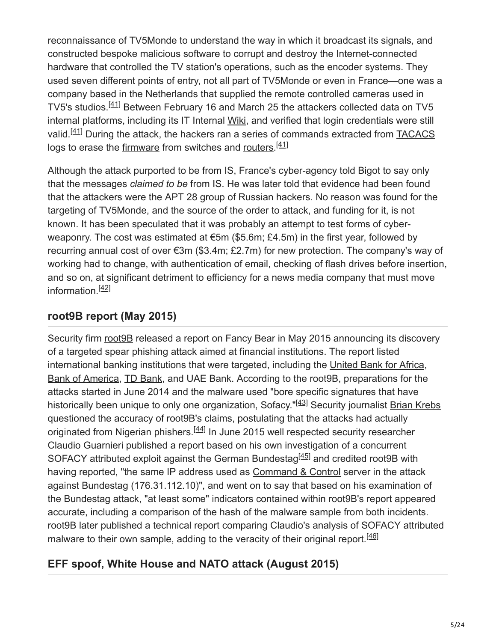reconnaissance of TV5Monde to understand the way in which it broadcast its signals, and constructed bespoke malicious software to corrupt and destroy the Internet-connected hardware that controlled the TV station's operations, such as the encoder systems. They used seven different points of entry, not all part of TV5Monde or even in France—one was a company based in the Netherlands that supplied the remote controlled cameras used in TV5's studios.<sup>[41]</sup> Between February 16 and March 25 the attackers collected data on TV5 internal platforms, including its IT Internal [Wiki,](https://en.wikipedia.org/wiki/Wiki) and verified that login credentials were still valid.<sup>[41]</sup> During the attack, the hackers ran a series of commands extracted from **[TACACS](https://en.wikipedia.org/wiki/TACACS)** logs to erase the [firmware](https://en.wikipedia.org/wiki/Firmware) from switches and [routers.](https://en.wikipedia.org/wiki/Router_(computing))<sup>[41]</sup>

Although the attack purported to be from IS, France's cyber-agency told Bigot to say only that the messages *claimed to be* from IS. He was later told that evidence had been found that the attackers were the APT 28 group of Russian hackers. No reason was found for the targeting of TV5Monde, and the source of the order to attack, and funding for it, is not known. It has been speculated that it was probably an attempt to test forms of cyberweaponry. The cost was estimated at €5m (\$5.6m; £4.5m) in the first year, followed by recurring annual cost of over €3m (\$3.4m; £2.7m) for new protection. The company's way of working had to change, with authentication of email, checking of flash drives before insertion, and so on, at significant detriment to efficiency for a news media company that must move information.<sup>[42]</sup>

### **root9B report (May 2015)**

Security firm root 9B released a report on Fancy Bear in May 2015 announcing its discovery of a targeted spear phishing attack aimed at financial institutions. The report listed international banking institutions that were targeted, including the [United Bank for Africa,](https://en.wikipedia.org/wiki/United_Bank_for_Africa) [Bank of America](https://en.wikipedia.org/wiki/Bank_of_America), [TD Bank](https://en.wikipedia.org/wiki/Toronto-Dominion_Bank), and UAE Bank. According to the root9B, preparations for the attacks started in June 2014 and the malware used "bore specific signatures that have historically been unique to only one organization, Sofacy."<sup>[43]</sup> Security journalist **[Brian Krebs](https://en.wikipedia.org/wiki/Brian_Krebs)** questioned the accuracy of root9B's claims, postulating that the attacks had actually originated from Nigerian phishers.<sup>[44]</sup> In June 2015 well respected security researcher Claudio Guarnieri published a report based on his own investigation of a concurrent SOFACY attributed exploit against the German Bundestag<sup>[45]</sup> and credited root9B with having reported, "the same IP address used as [Command & Control](https://en.wikipedia.org/wiki/Command_and_control_(malware)) server in the attack against Bundestag (176.31.112.10)", and went on to say that based on his examination of the Bundestag attack, "at least some" indicators contained within root9B's report appeared accurate, including a comparison of the hash of the malware sample from both incidents. root9B later published a technical report comparing Claudio's analysis of SOFACY attributed malware to their own sample, adding to the veracity of their original report.<sup>[46]</sup>

### **EFF spoof, White House and NATO attack (August 2015)**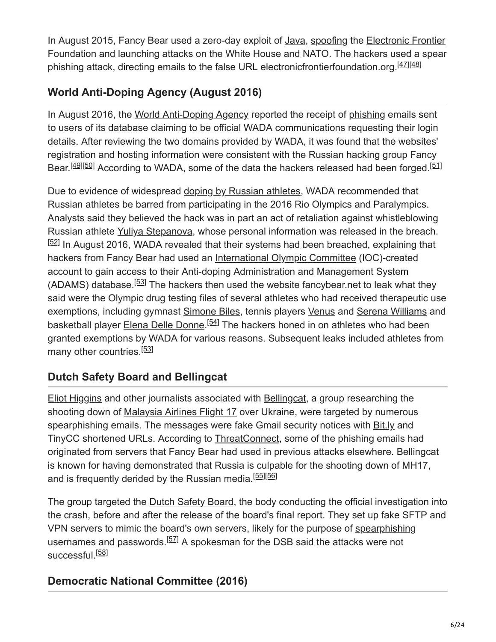In August 2015, Fancy Bear used a zero-day exploit of [Java](https://en.wikipedia.org/wiki/Java_(programming_language)), [spoofing](https://en.wikipedia.org/wiki/Spoofing_attack) the Electronic Frontier [Foundation and launching attacks on the White House and NATO. The hackers used a spear](https://en.wikipedia.org/wiki/Electronic_Frontier_Foundation) phishing attack, directing emails to the false URL electronicfrontierfoundation.org.<sup>[47][48]</sup>

## **World Anti-Doping Agency (August 2016)**

In August 2016, the [World Anti-Doping Agency](https://en.wikipedia.org/wiki/World_Anti-Doping_Agency) reported the receipt of [phishing](https://en.wikipedia.org/wiki/Phishing) emails sent to users of its database claiming to be official WADA communications requesting their login details. After reviewing the two domains provided by WADA, it was found that the websites' registration and hosting information were consistent with the Russian hacking group Fancy Bear.<sup>[49][50]</sup> According to WADA, some of the data the hackers released had been forged.<sup>[51]</sup>

Due to evidence of widespread [doping by Russian athletes](https://en.wikipedia.org/wiki/Doping_in_Russia), WADA recommended that Russian athletes be barred from participating in the 2016 Rio Olympics and Paralympics. Analysts said they believed the hack was in part an act of retaliation against whistleblowing Russian athlete [Yuliya Stepanova,](https://en.wikipedia.org/wiki/Yuliya_Stepanova) whose personal information was released in the breach. [52] In August 2016, WADA revealed that their systems had been breached, explaining that hackers from Fancy Bear had used an [International Olympic Committee](https://en.wikipedia.org/wiki/International_Olympic_Committee) (IOC)-created account to gain access to their Anti-doping Administration and Management System (ADAMS) database.  $53$  The hackers then used the website fancybear.net to leak what they said were the Olympic drug testing files of several athletes who had received therapeutic use exemptions, including gymnast [Simone Biles](https://en.wikipedia.org/wiki/Simone_Biles), tennis players [Venus](https://en.wikipedia.org/wiki/Venus_Williams) and [Serena Williams](https://en.wikipedia.org/wiki/Serena_Williams) and basketball player [Elena Delle Donne.](https://en.wikipedia.org/wiki/Elena_Delle_Donne)<sup>[54]</sup> The hackers honed in on athletes who had been granted exemptions by WADA for various reasons. Subsequent leaks included athletes from many other countries.<sup>[53]</sup>

## **Dutch Safety Board and Bellingcat**

[Eliot Higgins](https://en.wikipedia.org/wiki/Eliot_Higgins) and other journalists associated with [Bellingcat,](https://en.wikipedia.org/wiki/Bellingcat) a group researching the shooting down of [Malaysia Airlines Flight 17](https://en.wikipedia.org/wiki/Malaysia_Airlines_Flight_17) over Ukraine, were targeted by numerous spearphishing emails. The messages were fake Gmail security notices with [Bit.ly](https://en.wikipedia.org/wiki/Bit.ly) and TinyCC shortened URLs. According to [ThreatConnect,](https://en.wikipedia.org/wiki/ThreatConnect) some of the phishing emails had originated from servers that Fancy Bear had used in previous attacks elsewhere. Bellingcat is known for having demonstrated that Russia is culpable for the shooting down of MH17, and is frequently derided by the Russian media.<sup>[55][56]</sup>

The group targeted the [Dutch Safety Board,](https://en.wikipedia.org/wiki/Dutch_Safety_Board) the body conducting the official investigation into the crash, before and after the release of the board's final report. They set up fake SFTP and VPN servers to mimic the board's own servers, likely for the purpose of [spearphishing](https://en.wikipedia.org/wiki/Spearphishing) usernames and passwords.<sup>[57]</sup> A spokesman for the DSB said the attacks were not successful.<sup>[58]</sup>

## **Democratic National Committee (2016)**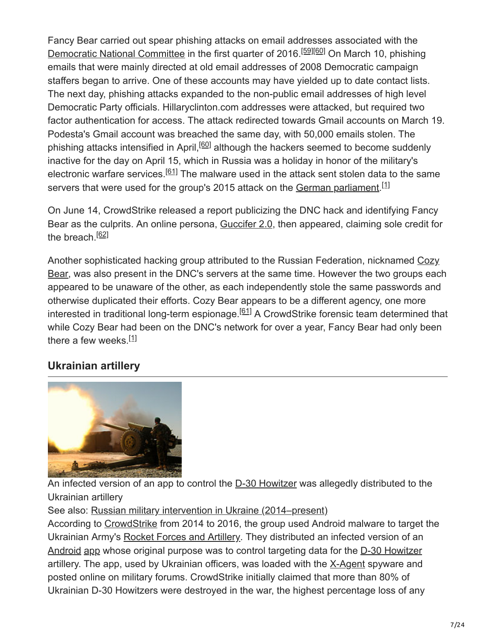Fancy Bear carried out spear phishing attacks on email addresses associated with the [Democratic National Committee](https://en.wikipedia.org/wiki/Democratic_National_Committee) in the first quarter of 2016.<sup>[59][60]</sup> On March 10, phishing emails that were mainly directed at old email addresses of 2008 Democratic campaign staffers began to arrive. One of these accounts may have yielded up to date contact lists. The next day, phishing attacks expanded to the non-public email addresses of high level Democratic Party officials. Hillaryclinton.com addresses were attacked, but required two factor authentication for access. The attack redirected towards Gmail accounts on March 19. Podesta's Gmail account was breached the same day, with 50,000 emails stolen. The phishing attacks intensified in April,<sup>[60]</sup> although the hackers seemed to become suddenly inactive for the day on April 15, which in Russia was a holiday in honor of the military's electronic warfare services.<sup>[61]</sup> The malware used in the attack sent stolen data to the same servers that were used for the group's 2015 attack on the [German parliament](https://en.wikipedia.org/wiki/Bundestag).<sup>[1]</sup>

On June 14, CrowdStrike released a report publicizing the DNC hack and identifying Fancy Bear as the culprits. An online persona, [Guccifer 2.0,](https://en.wikipedia.org/wiki/Guccifer_2.0) then appeared, claiming sole credit for the breach.<sup>[62]</sup>

[Another sophisticated hacking group attributed to the Russian Federation, nicknamed Cozy](https://en.wikipedia.org/wiki/Cozy_Bear) Bear, was also present in the DNC's servers at the same time. However the two groups each appeared to be unaware of the other, as each independently stole the same passwords and otherwise duplicated their efforts. Cozy Bear appears to be a different agency, one more interested in traditional long-term espionage.<sup>[61]</sup> A CrowdStrike forensic team determined that while Cozy Bear had been on the DNC's network for over a year, Fancy Bear had only been there a few weeks.<sup>[1]</sup>

### **Ukrainian artillery**



An infected version of an app to control the [D-30 Howitzer](https://en.wikipedia.org/wiki/122_mm_howitzer_2A18_(D-30)) was allegedly distributed to the Ukrainian artillery

See also: [Russian military intervention in Ukraine \(2014–present\)](https://en.wikipedia.org/wiki/Russian_military_intervention_in_Ukraine_(2014%E2%80%93present))

According to [CrowdStrike](https://en.wikipedia.org/wiki/CrowdStrike) from 2014 to 2016, the group used Android malware to target the Ukrainian Army's [Rocket Forces and Artillery.](https://en.wikipedia.org/wiki/Rocket_Forces_and_Artillery_(Ukraine)) They distributed an infected version of an [Android](https://en.wikipedia.org/wiki/Android_(operating_system)) [app](https://en.wikipedia.org/wiki/Mobile_app) whose original purpose was to control targeting data for the [D-30 Howitzer](https://en.wikipedia.org/wiki/122_mm_howitzer_2A18_(D-30)) artillery. The app, used by Ukrainian officers, was loaded with the [X-Agent](https://en.wikipedia.org/wiki/X_Agent_(spyware)) spyware and posted online on military forums. CrowdStrike initially claimed that more than 80% of Ukrainian D-30 Howitzers were destroyed in the war, the highest percentage loss of any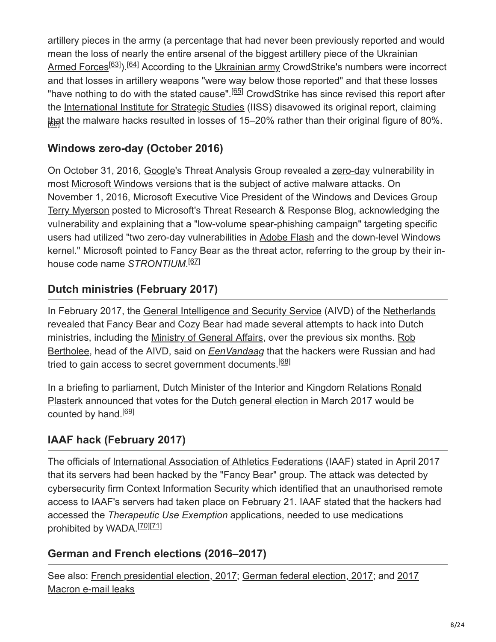artillery pieces in the army (a percentage that had never been previously reported and would [mean the loss of nearly the entire arsenal of the biggest artillery piece of the Ukrainian](https://en.wikipedia.org/wiki/Ukrainian_Armed_Forces) Armed Forces<sup>[63]</sup>).<sup>[64]</sup> According to the [Ukrainian army](https://en.wikipedia.org/wiki/Ukrainian_army) CrowdStrike's numbers were incorrect and that losses in artillery weapons "were way below those reported" and that these losses "have nothing to do with the stated cause".<sup>[65]</sup> CrowdStrike has since revised this report after the [International Institute for Strategic Studies](https://en.wikipedia.org/wiki/International_Institute_for_Strategic_Studies) (IISS) disavowed its original report, claiming that the malware hacks resulted in losses of 15–20% rather than their original figure of 80%.

### **Windows zero-day (October 2016)**

On October 31, 2016, [Google'](https://en.wikipedia.org/wiki/Google)s Threat Analysis Group revealed a [zero-day](https://en.wikipedia.org/wiki/Zero-day_(computing)) vulnerability in most [Microsoft Windows](https://en.wikipedia.org/wiki/Microsoft_Windows) versions that is the subject of active malware attacks. On November 1, 2016, Microsoft Executive Vice President of the Windows and Devices Group [Terry Myerson](https://en.wikipedia.org/wiki/Terry_Myerson) posted to Microsoft's Threat Research & Response Blog, acknowledging the vulnerability and explaining that a "low-volume spear-phishing campaign" targeting specific users had utilized "two zero-day vulnerabilities in [Adobe Flash](https://en.wikipedia.org/wiki/Adobe_Flash) and the down-level Windows kernel." Microsoft pointed to Fancy Bear as the threat actor, referring to the group by their inhouse code name *STRONTIUM*. [67]

### **Dutch ministries (February 2017)**

In February 2017, the [General Intelligence and Security Service](https://en.wikipedia.org/wiki/General_Intelligence_and_Security_Service) (AIVD) of the [Netherlands](https://en.wikipedia.org/wiki/Netherlands) revealed that Fancy Bear and Cozy Bear had made several attempts to hack into Dutch [ministries, including the Ministry of General Affairs, over the previous six months. Rob](https://en.wikipedia.org/wiki/Rob_Bertholee) Bertholee, head of the AIVD, said on *[EenVandaag](https://en.wikipedia.org/wiki/EenVandaag)* that the hackers were Russian and had tried to gain access to secret government documents.<sup>[68]</sup>

[In a briefing to parliament, Dutch Minister of the Interior and Kingdom Relations Ronald](https://en.wikipedia.org/wiki/Ronald_Plasterk) Plasterk announced that votes for the [Dutch general election](https://en.wikipedia.org/wiki/2017_Dutch_general_election) in March 2017 would be counted by hand.<sup>[69]</sup>

## **IAAF hack (February 2017)**

The officials of [International Association of Athletics Federations](https://en.wikipedia.org/wiki/International_Association_of_Athletics_Federations) (IAAF) stated in April 2017 that its servers had been hacked by the "Fancy Bear" group. The attack was detected by cybersecurity firm Context Information Security which identified that an unauthorised remote access to IAAF's servers had taken place on February 21. IAAF stated that the hackers had accessed the *Therapeutic Use Exemption* applications, needed to use medications prohibited by WADA.<sup>[70][71]</sup>

#### **German and French elections (2016–2017)**

[See also: French presidential election, 2017; German federal election, 2017; and 2017](https://en.wikipedia.org/wiki/2017_Macron_e-mail_leaks) Macron e-mail leaks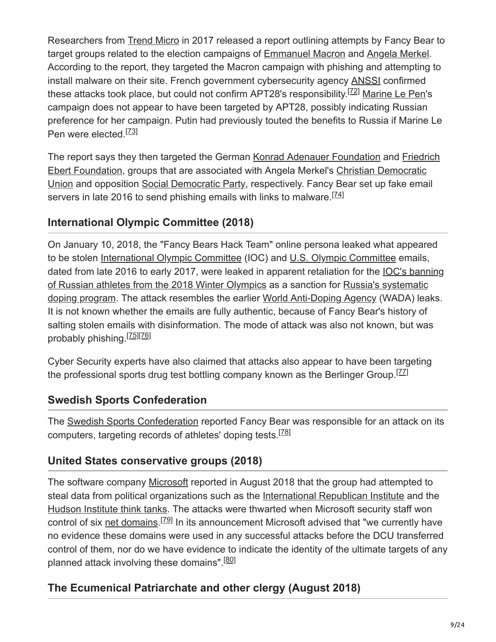Researchers from [Trend Micro](https://en.wikipedia.org/wiki/Trend_Micro) in 2017 released a report outlining attempts by Fancy Bear to target groups related to the election campaigns of [Emmanuel Macron](https://en.wikipedia.org/wiki/Emmanuel_Macron) and [Angela Merkel.](https://en.wikipedia.org/wiki/Angela_Merkel) According to the report, they targeted the Macron campaign with phishing and attempting to install malware on their site. French government cybersecurity agency [ANSSI](https://en.wikipedia.org/wiki/Agence_nationale_de_la_s%C3%A9curit%C3%A9_des_syst%C3%A8mes_d%27information) confirmed these attacks took place, but could not confirm APT28's responsibility.<sup>[72]</sup> [Marine Le Pen](https://en.wikipedia.org/wiki/Marine_Le_Pen)'s campaign does not appear to have been targeted by APT28, possibly indicating Russian preference for her campaign. Putin had previously touted the benefits to Russia if Marine Le Pen were elected.<sup>[73]</sup>

[The report says they then targeted the German Konrad Adenauer Foundation and Friedrich](https://en.wikipedia.org/wiki/Friedrich_Ebert_Foundation) [Ebert Foundation, groups that are associated with Angela Merkel's Christian Democratic](https://en.wikipedia.org/wiki/Christian_Democratic_Union_of_Germany) Union and opposition [Social Democratic Party](https://en.wikipedia.org/wiki/Social_Democratic_Party_of_Germany), respectively. Fancy Bear set up fake email servers in late 2016 to send phishing emails with links to malware.<sup>[74]</sup>

### **International Olympic Committee (2018)**

On January 10, 2018, the "Fancy Bears Hack Team" online persona leaked what appeared to be stolen [International Olympic Committee](https://en.wikipedia.org/wiki/International_Olympic_Committee) (IOC) and [U.S. Olympic Committee](https://en.wikipedia.org/wiki/U.S._Olympic_Committee) emails, dated from late 2016 to early 2017, were leaked in apparent retaliation for the **IOC's banning** [of Russian athletes from the 2018 Winter Olympics as a sanction for Russia's systematic](https://en.wikipedia.org/wiki/Doping_in_Russia) doping program. The attack resembles the earlier [World Anti-Doping Agency](https://en.wikipedia.org/wiki/World_Anti-Doping_Agency) (WADA) leaks. It is not known whether the emails are fully authentic, because of Fancy Bear's history of salting stolen emails with disinformation. The mode of attack was also not known, but was probably phishing.<sup>[75][76]</sup>

Cyber Security experts have also claimed that attacks also appear to have been targeting the professional sports drug test bottling company known as the Berlinger Group.<sup>[ZZ]</sup>

### **Swedish Sports Confederation**

The [Swedish Sports Confederation](https://en.wikipedia.org/wiki/Swedish_Sports_Confederation) reported Fancy Bear was responsible for an attack on its computers, targeting records of athletes' doping tests.<sup>[78]</sup>

### **United States conservative groups (2018)**

The software company [Microsoft](https://en.wikipedia.org/wiki/Microsoft) reported in August 2018 that the group had attempted to steal data from political organizations such as the [International Republican Institute](https://en.wikipedia.org/wiki/International_Republican_Institute) and the [Hudson Institute think tanks](https://en.wikipedia.org/wiki/Hudson_Institute). The attacks were thwarted when Microsoft security staff won control of six [net domains](https://en.wikipedia.org/wiki/Windows_domain).<sup>[79]</sup> In its announcement Microsoft advised that "we currently have no evidence these domains were used in any successful attacks before the DCU transferred control of them, nor do we have evidence to indicate the identity of the ultimate targets of any planned attack involving these domains".<sup>[80]</sup>

## **The Ecumenical Patriarchate and other clergy (August 2018)**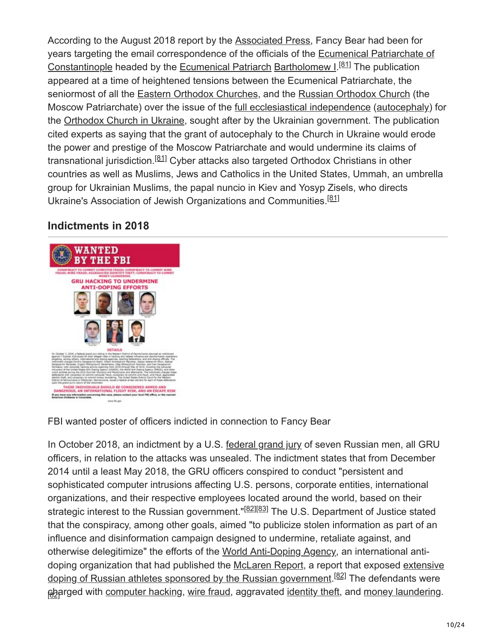According to the August 2018 report by the [Associated Press](https://en.wikipedia.org/wiki/Associated_Press), Fancy Bear had been for [years targeting the email correspondence of the officials of the Ecumenical Patriarchate of](https://en.wikipedia.org/wiki/Ecumenical_Patriarchate_of_Constantinople) Constantinople headed by the [Ecumenical Patriarch](https://en.wikipedia.org/wiki/Ecumenical_Patriarch) [Bartholomew I.](https://en.wikipedia.org/wiki/Bartholomew_I_of_Constantinople)<sup>[81]</sup> The publication appeared at a time of heightened tensions between the Ecumenical Patriarchate, the seniormost of all the [Eastern Orthodox Churches,](https://en.wikipedia.org/wiki/Eastern_Orthodox_Church) and the [Russian Orthodox Church](https://en.wikipedia.org/wiki/Russian_Orthodox_Church) (the Moscow Patriarchate) over the issue of the [full ecclesiastical independence \(autocephaly\)](https://en.wikipedia.org/wiki/Autocephaly) for the [Orthodox Church in Ukraine,](https://en.wikipedia.org/wiki/Religion_in_Ukraine#Eastern_Orthodoxy) sought after by the Ukrainian government. The publication cited experts as saying that the grant of autocephaly to the Church in Ukraine would erode the power and prestige of the Moscow Patriarchate and would undermine its claims of transnational jurisdiction.<sup>[81]</sup> Cyber attacks also targeted Orthodox Christians in other countries as well as Muslims, Jews and Catholics in the United States, Ummah, an umbrella group for Ukrainian Muslims, the papal nuncio in Kiev and Yosyp Zisels, who directs Ukraine's Association of Jewish Organizations and Communities.<sup>[81]</sup>

### **Indictments in 2018**



FBI wanted poster of officers indicted in connection to Fancy Bear

In October 2018, an indictment by a U.S. [federal grand jury](https://en.wikipedia.org/wiki/Federal_grand_jury) of seven Russian men, all GRU officers, in relation to the attacks was unsealed. The indictment states that from December 2014 until a least May 2018, the GRU officers conspired to conduct "persistent and sophisticated computer intrusions affecting U.S. persons, corporate entities, international organizations, and their respective employees located around the world, based on their strategic interest to the Russian government."<sup>[82][83]</sup> The U.S. Department of Justice stated that the conspiracy, among other goals, aimed "to publicize stolen information as part of an influence and disinformation campaign designed to undermine, retaliate against, and otherwise delegitimize" the efforts of the [World Anti-Doping Agency,](https://en.wikipedia.org/wiki/World_Anti-Doping_Agency) an international anti[doping organization that had published the M](https://en.wikipedia.org/wiki/Doping_in_Russia)[cLaren Repor](https://en.wikipedia.org/wiki/McLaren_Report)[t, a report that exposed extensive](https://en.wikipedia.org/wiki/Doping_in_Russia) <u>doping of Russian athletes sponsored by the Russian government.<sup>[82]</sup> The defendants were</u> <u>pb</u>arged with <u>computer hacking, [wire fraud](https://en.wikipedia.org/wiki/Wire_fraud)</u>, aggravated <u>[identity theft](https://en.wikipedia.org/wiki/Identity_theft),</u> and <u>money laundering</u>.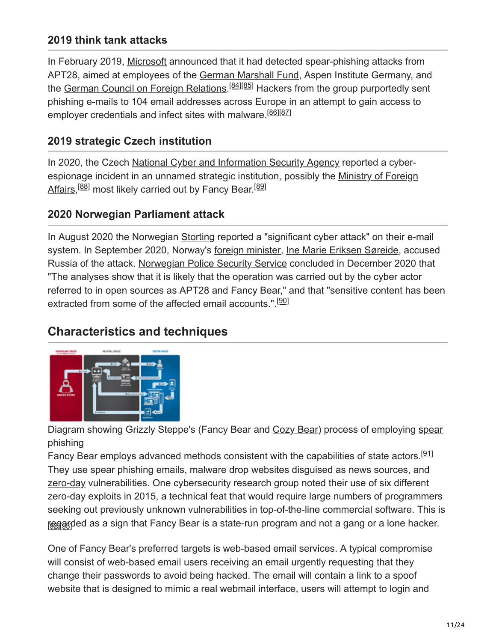#### **2019 think tank attacks**

In February 2019, [Microsoft](https://en.wikipedia.org/wiki/Microsoft) announced that it had detected spear-phishing attacks from APT28, aimed at employees of the [German Marshall Fund](https://en.wikipedia.org/wiki/German_Marshall_Fund), Aspen Institute Germany, and the <u>[German Council on Foreign Relations.](https://en.wikipedia.org/wiki/German_Council_on_Foreign_Relations)<sup>[84][85</mark>] Hackers from the group purportedly sent</u></sup> phishing e-mails to 104 email addresses across Europe in an attempt to gain access to employer credentials and infect sites with malware.<sup>[86][87]</sup>

#### **2019 strategic Czech institution**

In 2020, the Czech [National Cyber and Information Security Agency](https://en.wikipedia.org/w/index.php?title=National_Cyber_and_Information_Security_Agency&action=edit&redlink=1) reported a cyber[espionage incident in an unnamed strategic institution, possibly the Ministry of Foreign](https://en.wikipedia.org/wiki/Ministry_of_Foreign_Affairs_(Czech_Republic)) Affairs,<sup>[88]</sup> most likely carried out by Fancy Bear.<sup>[89]</sup>

#### **2020 Norwegian Parliament attack**

In August 2020 the Norwegian [Storting](https://en.wikipedia.org/wiki/Storting) reported a "significant cyber attack" on their e-mail system. In September 2020, Norway's [foreign minister](https://en.wikipedia.org/wiki/Minister_of_Foreign_Affairs_(Norway)), [Ine Marie Eriksen Søreide](https://en.wikipedia.org/wiki/Ine_Marie_Eriksen_S%C3%B8reide), accused Russia of the attack. [Norwegian Police Security Service](https://en.wikipedia.org/wiki/Norwegian_Police_Security_Service) concluded in December 2020 that "The analyses show that it is likely that the operation was carried out by the cyber actor referred to in open sources as APT28 and Fancy Bear," and that "sensitive content has been extracted from some of the affected email accounts.".<sup>[90]</sup>

## **Characteristics and techniques**



[Diagram showing Grizzly Steppe's \(Fancy Bear and Cozy Bear\) process of employing spear](https://en.wikipedia.org/wiki/Spear_phishing) phishing

Fancy Bear employs advanced methods consistent with the capabilities of state actors.<sup>[91]</sup> They use [spear phishing](https://en.wikipedia.org/wiki/Spear_phishing) emails, malware drop websites disguised as news sources, and [zero-day](https://en.wikipedia.org/wiki/Zero-day_(computing)) vulnerabilities. One cybersecurity research group noted their use of six different zero-day exploits in 2015, a technical feat that would require large numbers of programmers seeking out previously unknown vulnerabilities in top-of-the-line commercial software. This is r<u>esga</u>gded as a sign that Fancy Bear is a state-run program and not a gang or a lone hacker.

One of Fancy Bear's preferred targets is web-based email services. A typical compromise will consist of web-based email users receiving an email urgently requesting that they change their passwords to avoid being hacked. The email will contain a link to a spoof website that is designed to mimic a real webmail interface, users will attempt to login and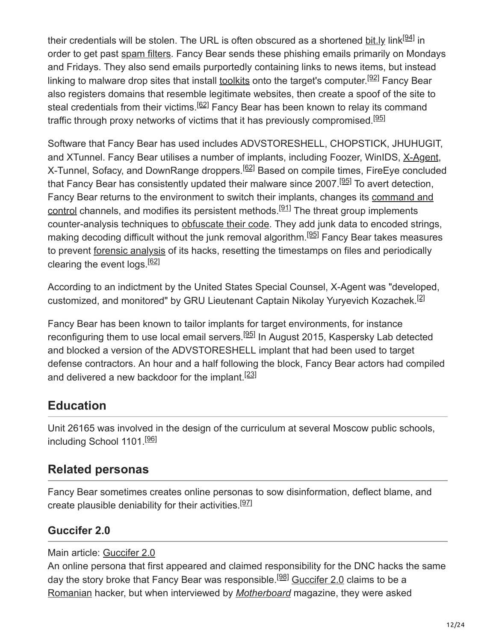their credentials will be stolen. The URL is often obscured as a shortened <u>bit.ly</u> link<sup>[94]</sup> in order to get past [spam filters](https://en.wikipedia.org/wiki/Spam_filter). Fancy Bear sends these phishing emails primarily on Mondays and Fridays. They also send emails purportedly containing links to news items, but instead linking to malware drop sites that install <u>[toolkits](https://en.wikipedia.org/wiki/Toolkits)</u> onto the target's computer.<sup>[92]</sup> Fancy Bear also registers domains that resemble legitimate websites, then create a spoof of the site to steal credentials from their victims.<sup>[62]</sup> Fancy Bear has been known to relay its command traffic through proxy networks of victims that it has previously compromised.<sup>[95]</sup>

Software that Fancy Bear has used includes ADVSTORESHELL, CHOPSTICK, JHUHUGIT, and XTunnel. Fancy Bear utilises a number of implants, including Foozer, WinIDS, [X-Agent,](https://en.wikipedia.org/wiki/X_Agent_(spyware)) X-Tunnel, Sofacy, and DownRange droppers.<sup>[62]</sup> Based on compile times, FireEye concluded that Fancy Bear has consistently updated their malware since 2007.<sup>[95]</sup> To avert detection, [Fancy Bear returns to the environment to switch their implants, changes its command and](https://en.wikipedia.org/wiki/Command_and_control_(malware)) control channels, and modifies its persistent methods.<sup>[91]</sup> The threat group implements counter-analysis techniques to [obfuscate their code](https://en.wikipedia.org/wiki/Data_masking). They add junk data to encoded strings, making decoding difficult without the junk removal algorithm.<sup>[95]</sup> Fancy Bear takes measures to prevent [forensic analysis](https://en.wikipedia.org/wiki/Digital_forensics) of its hacks, resetting the timestamps on files and periodically clearing the event logs.<sup>[62]</sup>

According to an indictment by the United States Special Counsel, X-Agent was "developed, customized, and monitored" by GRU Lieutenant Captain Nikolay Yuryevich Kozachek.<sup>[2]</sup>

Fancy Bear has been known to tailor implants for target environments, for instance reconfiguring them to use local email servers.<sup>[95]</sup> In August 2015, Kaspersky Lab detected and blocked a version of the ADVSTORESHELL implant that had been used to target defense contractors. An hour and a half following the block, Fancy Bear actors had compiled and delivered a new backdoor for the implant.<sup>[23]</sup>

## **Education**

Unit 26165 was involved in the design of the curriculum at several Moscow public schools, including School 1101.<sup>[96]</sup>

### **Related personas**

Fancy Bear sometimes creates online personas to sow disinformation, deflect blame, and create plausible deniability for their activities.<sup>[97]</sup>

#### **Guccifer 2.0**

Main article: [Guccifer 2.0](https://en.wikipedia.org/wiki/Guccifer_2.0)

An online persona that first appeared and claimed responsibility for the DNC hacks the same day the story broke that Fancy Bear was responsible.<sup>[98]</sup> [Guccifer 2.0](https://en.wikipedia.org/wiki/Guccifer_2.0) claims to be a [Romanian](https://en.wikipedia.org/wiki/Romanians) hacker, but when interviewed by *[Motherboard](https://en.wikipedia.org/wiki/Motherboard_(website))* magazine, they were asked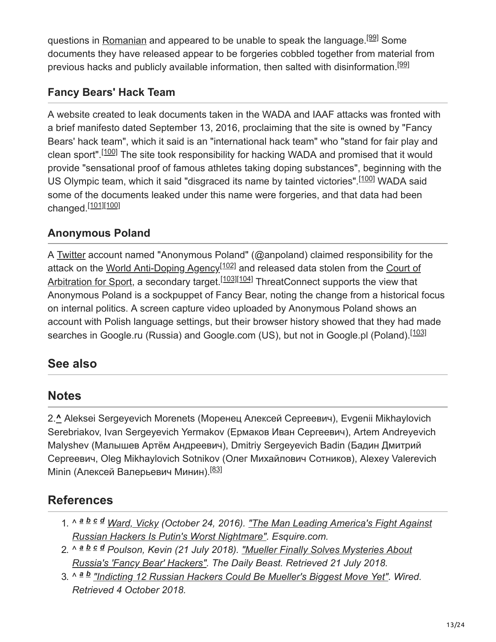questions in [Romanian](https://en.wikipedia.org/wiki/Romanian_language) and appeared to be unable to speak the language.<sup>[99]</sup> Some documents they have released appear to be forgeries cobbled together from material from previous hacks and publicly available information, then salted with disinformation.<sup>[99]</sup>

## **Fancy Bears' Hack Team**

A website created to leak documents taken in the WADA and IAAF attacks was fronted with a brief manifesto dated September 13, 2016, proclaiming that the site is owned by "Fancy Bears' hack team", which it said is an "international hack team" who "stand for fair play and clean sport".<sup>[100]</sup> The site took responsibility for hacking WADA and promised that it would provide "sensational proof of famous athletes taking doping substances", beginning with the US Olympic team, which it said "disgraced its name by tainted victories".<sup>[100]</sup> WADA said some of the documents leaked under this name were forgeries, and that data had been changed.<sup>[101][100]</sup>

### **Anonymous Poland**

A [Twitter](https://en.wikipedia.org/wiki/Twitter) account named "Anonymous Poland" (@anpoland) claimed responsibility for the [attack on the](https://en.wikipedia.org/wiki/Court_of_Arbitration_for_Sport) <u>[World Anti-Doping Agency](https://en.wikipedia.org/wiki/World_Anti-Doping_Agency)<sup>[102]</sup></u> and released data stolen from the <u>Court of</u> Arbitration for Sport, a secondary target.<sup>[103][104]</sup> ThreatConnect supports the view that Anonymous Poland is a sockpuppet of Fancy Bear, noting the change from a historical focus on internal politics. A screen capture video uploaded by Anonymous Poland shows an account with Polish language settings, but their browser history showed that they had made searches in Google.ru (Russia) and Google.com (US), but not in Google.pl (Poland).<sup>[103]</sup>

## **See also**

### **Notes**

2.**^** Aleksei Sergeyevich Morenets (Моренец Алексей Сергеевич), Evgenii Mikhaylovich Serebriakov, Ivan Sergeyevich Yermakov (Ермаков Иван Сергеевич), Artem Andreyevich Malyshev (Малышев Артём Андреевич), Dmitriy Sergeyevich Badin (Бадин Дмитрий Сергеевич, Oleg Mikhaylovich Sotnikov (Олег Михайлович Сотников), Alexey Valerevich Minin (Алексей Валерьевич Минин).<sup>[83]</sup>

## **References**

- 1. ^ a b c d [Ward, Vicky](https://en.wikipedia.org/wiki/Vicky_Ward) [\(October 24, 2016\). "The Man Leading America's Fight Against](http://www.esquire.com/news-politics/a49902/the-russian-emigre-leading-the-fight-to-protect-america/) *Russian Hackers Is Putin's Worst Nightmare". Esquire.com.*
- 2. ^ ª <sup>b c d</sup> Poulson, Kevin (21 July 2018). <u>"Mueller Finally Solves Mysteries About</u> *[Russia's 'Fancy Bear' Hackers". The Daily Beast. Retrieved 21 July 2018.](https://www.thedailybeast.com/mueller-finally-solves-mysteries-about-russias-fancy-bear-hackers)*
- 3. ^ *["Indicting 12 Russian Hackers Could Be Mueller's Biggest Move Yet"](https://www.wired.com/story/mueller-indictment-dnc-hack-russia-fancy-bear/). Wired. a bRetrieved 4 October 2018.*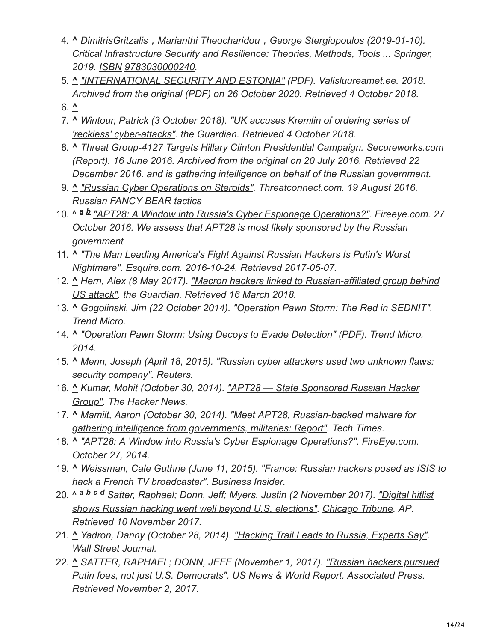- 4. **^** *DimitrisGritzalis*,*Marianthi Theocharidou*,*George Stergiopoulos (2019-01-10). [Critical Infrastructure Security and Resilience: Theories, Methods, Tools ...](https://books.google.com/books?id=zAuCDwAAQBAJ&q=APT28%2C+RED+October) Springer, 2019. [ISBN](https://en.wikipedia.org/wiki/ISBN_(identifier)) [9783030000240.](https://en.wikipedia.org/wiki/Special:BookSources/9783030000240)*
- 5. **^** *["INTERNATIONAL SECURITY AND ESTONIA"](https://web.archive.org/web/20201026005331/https://www.valisluureamet.ee/pdf/raport-2018-ENG-web.pdf) (PDF). Valisluureamet.ee. 2018. Archived from [the original](https://www.valisluureamet.ee/pdf/raport-2018-ENG-web.pdf) (PDF) on 26 October 2020. Retrieved 4 October 2018.*
- 6. **^**
- 7. **^** *[Wintour, Patrick \(3 October 2018\). "UK accuses Kremlin of ordering series of](https://www.theguardian.com/technology/2018/oct/04/uk-accuses-kremlin-of-ordering-series-of-reckless-cyber-attacks) 'reckless' cyber-attacks". the Guardian. Retrieved 4 October 2018.*
- 8. **^** *[Threat Group-4127 Targets Hillary Clinton Presidential Campaign.](https://web.archive.org/web/20160720175418/https://www.secureworks.com/research/threat-group-4127-targets-hillary-clinton-presidential-campaign) Secureworks.com (Report). 16 June 2016. Archived from [the original](https://www.secureworks.com/research/threat-group-4127-targets-hillary-clinton-presidential-campaign) on 20 July 2016. Retrieved 22 December 2016. and is gathering intelligence on behalf of the Russian government.*
- 9. **^** *["Russian Cyber Operations on Steroids".](https://www.threatconnect.com/blog/fancy-bear-anti-doping-agency-phishing/) Threatconnect.com. 19 August 2016. Russian FANCY BEAR tactics*
- 10. ^ <sup>a</sup> **b** ["APT28: A Window into Russia's Cyber Espionage Operations?".](https://www.fireeye.com/blog/threat-research/2014/10/apt28-a-window-into-russias-cyber-espionage-operations.html) Fireeye.com. 27 *October 2016. We assess that APT28 is most likely sponsored by the Russian government*
- 11. **^** *["The Man Leading America's Fight Against Russian Hackers Is Putin's Worst](http://www.esquire.com/news-politics/a49902/the-russian-emigre-leading-the-fight-to-protect-america/) Nightmare". Esquire.com. 2016-10-24. Retrieved 2017-05-07.*
- 12. **^** *[Hern, Alex \(8 May 2017\). "Macron hackers linked to Russian-affiliated group behind](https://www.theguardian.com/world/2017/may/08/macron-hackers-linked-to-russian-affiliated-group-behind-us-attack) US attack". the Guardian. Retrieved 16 March 2018.*
- 13. **^** *Gogolinski, Jim (22 October 2014). ["Operation Pawn Storm: The Red in SEDNIT".](http://blog.trendmicro.com/trendlabs-security-intelligence/operation-pawn-storm-the-red-in-sednit/) Trend Micro.*
- 14. **^** *["Operation Pawn Storm: Using Decoys to Evade Detection"](https://www.trendmicro.com/cloud-content/us/pdfs/security-intelligence/white-papers/wp-operation-pawn-storm.pdf) (PDF). Trend Micro. 2014.*
- 15. **^** *[Menn, Joseph \(April 18, 2015\). "Russian cyber attackers used two unknown flaws:](https://www.reuters.com/article/us-russia-cyberattack-idUSKBN0N90RQ20150418) security company". Reuters.*
- 16. **^** *[Kumar, Mohit \(October 30, 2014\). "APT28 State Sponsored Russian Hacker](http://thehackernews.com/2014/10/APT28-Russian-hacker-cyber-espionage.html) Group". The Hacker News.*
- 17. **^** *[Mamiit, Aaron \(October 30, 2014\). "Meet APT28, Russian-backed malware for](http://www.techtimes.com/articles/18995/20141030/meet-apt28-russian-backed-malware-for-gathering-intelligence-from-governments-militaries-report.htm) gathering intelligence from governments, militaries: Report". Tech Times.*
- 18. **^** *["APT28: A Window into Russia's Cyber Espionage Operations?"](https://www.fireeye.com/blog/threat-research/2014/10/apt28-a-window-into-russias-cyber-espionage-operations.html). FireEye.com. October 27, 2014.*
- 19. **^** *[Weissman, Cale Guthrie \(June 11, 2015\). "France: Russian hackers posed as ISIS to](http://www.businessinsider.com/new-discovery-indicates-that-russian-hackers-apt28-are-behind-the-tv5-monde-hack-2015-6) hack a French TV broadcaster". [Business Insider.](https://en.wikipedia.org/wiki/Business_Insider)*
- 20. ^ ª <sup>b c d</sup> Satter, Raphael; Donn, Jeff; Myers, Justin (2 November 2017). <u>"Digital hitlist</u> *[shows Russian hacking went well beyond U.S. elections". Chicago Tribune. AP.](https://www.chicagotribune.com/news/nationworld/ct-russian-hacking-20171102-story.html) Retrieved 10 November 2017.*
- 21. **^** *Yadron, Danny (October 28, 2014). ["Hacking Trail Leads to Russia, Experts Say"](https://www.wsj.com/articles/hacking-trail-leads-to-russia-experts-say-1414468869). [Wall Street Journal](https://en.wikipedia.org/wiki/Wall_Street_Journal).*
- 22. **^** *[SATTER, RAPHAEL; DONN, JEFF \(November 1, 2017\). "Russian hackers pursued](https://www.usnews.com/news/world/articles/2017-11-02/hit-list-exposes-russian-hacking-beyond-us-elections) Putin foes, not just U.S. Democrats". US News & World Report. [Associated Press](https://en.wikipedia.org/wiki/Associated_Press). Retrieved November 2, 2017.*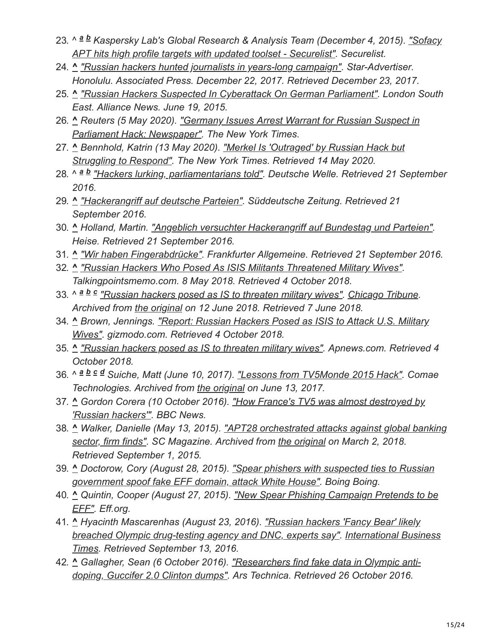- 23. ^ ª ª Kaspersky Lab's Global Research & Analysis Team (December 4, 2015). <u>"Sofacy</u> *APT hits high profile targets with updated toolset - Securelist". Securelist.*
- 24. **^** *["Russian hackers hunted journalists in years-long campaign".](http://www.staradvertiser.com/2017/12/22/breaking-news/russian-hackers-hunted-journalists-in-years-long-campaign/) Star-Advertiser. Honolulu. Associated Press. December 22, 2017. Retrieved December 23, 2017.*
- 25. **^** *["Russian Hackers Suspected In Cyberattack On German Parliament".](http://www.lse.co.uk/AllNews.asp?code=kwdwehme&headline=Russian_Hackers_Suspected_In_Cyberattack_On_German_Parliament) London South East. Alliance News. June 19, 2015.*
- 26. **^** *[Reuters \(5 May 2020\). "Germany Issues Arrest Warrant for Russian Suspect in](https://www.nytimes.com/reuters/2020/05/05/world/europe/05reuters-russia-germany-warrant.html) Parliament Hack: Newspaper". The New York Times.*
- 27. **^** *[Bennhold, Katrin \(13 May 2020\). "Merkel Is 'Outraged' by Russian Hack but](https://www.nytimes.com/2020/05/13/world/europe/merkel-russia-cyberattack.html) Struggling to Respond". The New York Times. Retrieved 14 May 2020.*
- 28. ^ *["Hackers lurking, parliamentarians told".](http://www.dw.com/en/hackers-lurking-parliamentarians-told/a-19564630) Deutsche Welle. Retrieved 21 September a b 2016.*
- 29. **^** *["Hackerangriff auf deutsche Parteien"](http://www.sueddeutsche.de/politik/bundesregierung-ist-alarmiert-hackerangriff-aufdeutsche-parteien-1.3170347). Süddeutsche Zeitung. Retrieved 21 September 2016.*
- 30. **^** *Holland, Martin. ["Angeblich versuchter Hackerangriff auf Bundestag und Parteien"](https://www.heise.de/newsticker/meldung/Angeblich-versuchter-Hackerangriff-auf-Bundestag-und-Parteien-3328265.html). Heise. Retrieved 21 September 2016.*
- 31. **^** *["Wir haben Fingerabdrücke"](https://www.faz.net/aktuell/politik/inland/hackerangriffe-auf-politiker-wir-haben-fingerabdruecke-14445655.html). Frankfurter Allgemeine. Retrieved 21 September 2016.*
- 32. **^** *["Russian Hackers Who Posed As ISIS Militants Threatened Military Wives"](https://talkingpointsmemo.com/news/russian-hackers-isis-militant-posers-military-wives-threat). Talkingpointsmemo.com. 8 May 2018. Retrieved 4 October 2018.*
- 33. ^ a b c ["Russian hackers posed as IS to threaten military wives".](https://web.archive.org/web/20180612141330/http://www.chicagotribune.com/news/sns-bc-eu--russian-hackers-spouses-20180508-story.html) [Chicago Tribune.](https://en.wikipedia.org/wiki/Chicago_Tribune) *Archived from [the original](https://www.chicagotribune.com/news/sns-bc-eu--russian-hackers-spouses-20180508-story.html) on 12 June 2018. Retrieved 7 June 2018.*
- 34. **^** *[Brown, Jennings. "Report: Russian Hackers Posed as ISIS to Attack U.S. Military](https://gizmodo.com/report-russian-hackers-posed-as-isis-to-attack-u-s-mi-1825855349) Wives". gizmodo.com. Retrieved 4 October 2018.*
- 35. **^** *["Russian hackers posed as IS to threaten military wives".](https://www.apnews.com/4d174e45ef5843a0ba82e804f080988f/Russians-posed-as-IS-hackers,-threatened-US-military-wives) Apnews.com. Retrieved 4 October 2018.*
- 36. ^ ª <sup>b</sup> <sup>c</sup> ª Suiche, Matt (June 10, 2017). <u>["Lessons from TV5Monde 2015 Hack"](https://web.archive.org/web/20170613120537/https://blog.comae.io/lessons-from-tv5monde-2015-hack-c4d62f07849d?gi=ed8e6819c991)</u>. Comae *Technologies. Archived from [the original](https://blog.comae.io/lessons-from-tv5monde-2015-hack-c4d62f07849d) on June 13, 2017.*
- 37. **^** *[Gordon Corera \(10 October 2016\). "How France's TV5 was almost destroyed by](https://www.bbc.co.uk/news/technology-37590375) 'Russian hackers'". BBC News.*
- 38. **^** *[Walker, Danielle \(May 13, 2015\). "APT28 orchestrated attacks against global banking](https://web.archive.org/web/20180302225332/https://www.scmagazine.com/apt28-orchestrated-attacks-against-global-banking-sector-firm-finds/printarticle/414586/) sector, firm finds". SC Magazine. Archived from [the original](http://www.scmagazine.com/apt28-orchestrated-attacks-against-global-banking-sector-firm-finds/printarticle/414586/) on March 2, 2018. Retrieved September 1, 2015.*
- 39. **^** *[Doctorow, Cory \(August 28, 2015\). "Spear phishers with suspected ties to Russian](https://boingboing.net/2015/08/28/spear-phishers-with-suspected.html) government spoof fake EFF domain, attack White House". Boing Boing.*
- 40. **^** *[Quintin, Cooper \(August 27, 2015\). "New Spear Phishing Campaign Pretends to be](https://www.eff.org/deeplinks/2015/08/new-spear-phishing-campaign-pretends-be-eff) EFF". Eff.org.*
- 41. **^** *Hyacinth Mascarenhas (August 23, 2016). "Russian hackers 'Fancy Bear' likely [breached Olympic drug-testing agency and DNC, experts say". International Busi](http://www.ibtimes.co.uk/russian-hackers-fancy-bear-likely-breached-olympic-drug-testing-agency-dnc-experts-say-1577508)[ness](https://en.wikipedia.org/wiki/International_Business_Times) Times. Retrieved September 13, 2016.*
- 42. **^** *[Gallagher, Sean \(6 October 2016\). "Researchers find fake data in Olympic anti](https://arstechnica.com/security/2016/10/researchers-find-fake-data-in-olympic-anti-doping-guccifer-2-0-clinton-dumps/)doping, Guccifer 2.0 Clinton dumps". Ars Technica. Retrieved 26 October 2016.*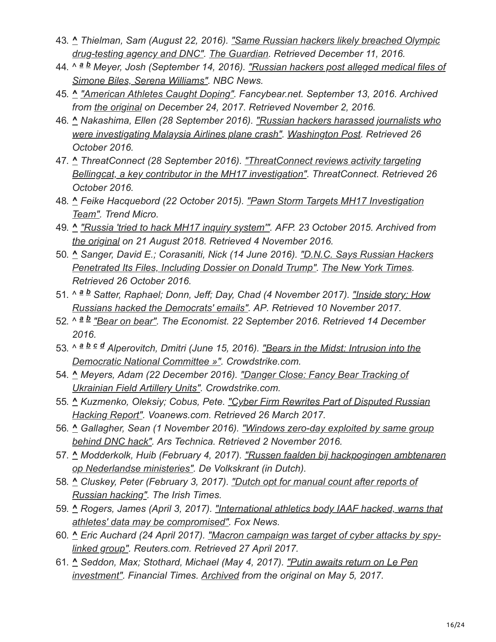- 43. **^** *[Thielman, Sam \(August 22, 2016\). "Same Russian hackers likely breached Olympic](https://www.theguardian.com/technology/2016/aug/22/russian-hackers-world-anti-doping-agency-dnc-hack-fancy-bear) drug-testing agency and DNC". [The Guardian.](https://en.wikipedia.org/wiki/The_Guardian) Retrieved December 11, 2016.*
- 44. ^ *[Meyer, Josh \(September 14, 2016\). "Russian hackers post alleged medical files of](https://www.nbcnews.com/storyline/2016-rio-summer-olympics/russian-hackers-post-medical-files-biles-serena-williams-n647571) a b Simone Biles, Serena Williams". NBC News.*
- 45. **^** *["American Athletes Caught Doping".](https://web.archive.org/web/20171224153442/https://fancybear.net/pages/1.html) Fancybear.net. September 13, 2016. Archived from [the original](http://fancybear.net/pages/1.html) on December 24, 2017. Retrieved November 2, 2016.*
- 46. **^** *[Nakashima, Ellen \(28 September 2016\). "Russian hackers harassed journalists who](https://www.washingtonpost.com/world/national-security/russian-hackers-harass-researchers-who-documented-russian-involvement-in-shootdown-of-malaysian-jetliner-over-ukraine-in-2014/2016/09/28/d086c8bc-84f7-11e6-ac72-a29979381495_story.html) were investigating Malaysia Airlines plane crash". [Washington Post.](https://en.wikipedia.org/wiki/Washington_Post) Retrieved 26 October 2016.*
- 47. **^** *ThreatConnect (28 September 2016). "ThreatConnect reviews activity targeting [Bellingcat, a key contributor in the MH17 investigation". ThreatConnect. Retrieved](https://www.threatconnect.com/blog/russia-hacks-bellingcat-mh17-investigation/) 26 October 2016.*
- 48. **^** *[Feike Hacquebord \(22 October 2015\). "Pawn Storm Targets MH17 Investigation](http://blog.trendmicro.com/trendlabs-security-intelligence/pawn-storm-targets-mh17-investigation-team/) Team". Trend Micro.*
- 49. **^** *["Russia 'tried to hack MH17 inquiry system'"](https://web.archive.org/web/20180821223159/http://www.msn.com/en-au/news/world/russia-tried-to-hack-mh17-inquiry-system/ar-BBmmuuT). AFP. 23 October 2015. Archived from [the original](https://www.msn.com/en-au/news/world/russia-tried-to-hack-mh17-inquiry-system/ar-BBmmuuT) on 21 August 2018. Retrieved 4 November 2016.*
- 50. **^** *[Sanger, David E.; Corasaniti, Nick \(14 June 2016\). "D.N.C. Says Russian Hackers](https://www.nytimes.com/2016/06/15/us/politics/russian-hackers-dnc-trump.html) Penetrated Its Files, Including Dossier on Donald Trump". [The New York Times](https://en.wikipedia.org/wiki/The_New_York_Times). Retrieved 26 October 2016.*
- 51. ^ ª b Satter, Raphael; Donn, Jeff; Day, Chad (4 November 2017). <u>"Inside story: How</u> *Russians hacked the Democrats' emails". AP. Retrieved 10 November 2017.*
- 52. ^ ª b <u>["Bear on bear"](https://www.economist.com/news/united-states/21707574-whats-worse-being-attacked-russian-hacker-being-attacked-two-bear-bear)</u>. The Economist. 22 September 2016. Retrieved 14 December *2016.*
- 53. ^ a b c d Alperovitch, Dmitri (June 15, 2016). <u>"Bears in the Midst: Intrusion into the</u> *Democratic National Committee »". Crowdstrike.com.*
- 54. **^** *[Meyers, Adam \(22 December 2016\). "Danger Close: Fancy Bear Tracking of](https://www.crowdstrike.com/blog/danger-close-fancy-bear-tracking-ukrainian-field-artillery-units/) Ukrainian Field Artillery Units". Crowdstrike.com.*
- 55. **^** *[Kuzmenko, Oleksiy; Cobus, Pete. "Cyber Firm Rewrites Part of Disputed Russian](http://www.voanews.com/a/cyber-firm-rewrites-part-disputed-russian-hacking-report/3781411.html) Hacking Report". Voanews.com. Retrieved 26 March 2017.*
- 56. **^** *[Gallagher, Sean \(1 November 2016\). "Windows zero-day exploited by same group](https://arstechnica.com/security/2016/11/windows-zero-day-exploited-by-same-group-behind-dnc-hack/) behind DNC hack". Ars Technica. Retrieved 2 November 2016.*
- 57. **^** *[Modderkolk, Huib \(February 4, 2017\). "Russen faalden bij hackpogingen ambtenaren](http://www.volkskrant.nl/tech/russische-hackers-probeerden-binnen-te-dringen-bij-ministerie-algemene-zaken~a4457869/) op Nederlandse ministeries". De Volkskrant (in Dutch).*
- 58. **^** *[Cluskey, Peter \(February 3, 2017\). "Dutch opt for manual count after reports of](https://www.irishtimes.com/news/world/europe/dutch-opt-for-manual-count-after-reports-of-russian-hacking-1.2962777) Russian hacking". The Irish Times.*
- 59. **^** *[Rogers, James \(April 3, 2017\). "International athletics body IAAF hacked, warns that](http://www.foxnews.com/tech/2017/04/03/international-athletics-body-iaaf-hacked-warns-that-athletes-data-may-be-compromised.html) athletes' data may be compromised". Fox News.*
- 60. **^** *[Eric Auchard \(24 April 2017\). "Macron campaign was target of cyber attacks by spy](https://www.reuters.com/article/us-france-election-macron-cyber-idUSKBN17Q200)linked group". Reuters.com. Retrieved 27 April 2017.*
- 61. **^** *[Seddon, Max; Stothard, Michael \(May 4, 2017\). "Putin awaits return on Le Pen](https://www.ft.com/content/010eec62-30b5-11e7-9555-23ef563ecf9a) investment". Financial Times. [Archived](https://web.archive.org/web/20170505120813/https://www.ft.com/content/010eec62-30b5-11e7-9555-23ef563ecf9a) from the original on May 5, 2017.*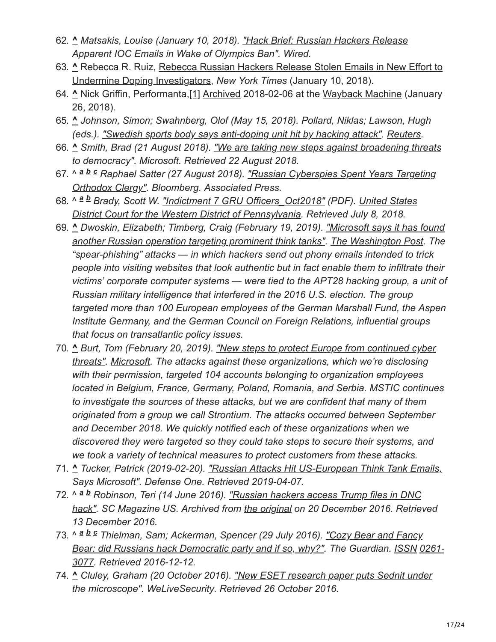- 62. **^** *[Matsakis, Louise \(January 10, 2018\). "Hack Brief: Russian Hackers Release](https://www.wired.com/story/russian-fancy-bears-hackers-release-apparent-ioc-emails/) Apparent IOC Emails in Wake of Olympics Ban". Wired.*
- 63. **^** [Rebecca R. Ruiz, Rebecca Russian Hackers Release Stolen Emails in New Effort to](https://www.nytimes.com/2018/01/10/sports/olympics/russian-hackers-emails-doping.html) Undermine Doping Investigators, *New York Times* (January 10, 2018).
- 64. **^** Nick Griffin, Performanta,[\[1\]](https://www.performanta.com/resources/intelligence-fancy-bear-apt28-targets-olympics-drug-test-bottling-company?token=gPlLTmy30eHthsRBKrSIZsdQ0KW2HWa4) [Archived](https://web.archive.org/web/20180206131437/https://www.performanta.com/resources/intelligence-fancy-bear-apt28-targets-olympics-drug-test-bottling-company?token=gPlLTmy30eHthsRBKrSIZsdQ0KW2HWa4) 2018-02-06 at the [Wayback Machine](https://en.wikipedia.org/wiki/Wayback_Machine) (January 26, 2018).
- 65. **^** *Johnson, Simon; Swahnberg, Olof (May 15, 2018). Pollard, Niklas; Lawson, Hugh (eds.). ["Swedish sports body says anti-doping unit hit by hacking attack"](https://www.reuters.com/article/us-sweden-doping/swedish-sports-body-says-anti-doping-unit-hit-by-hacking-attack-idUSKCN1IG2GN). [Reuters.](https://en.wikipedia.org/wiki/Reuters)*
- 66. **^** *[Smith, Brad \(21 August 2018\). "We are taking new steps against broadening threats](https://blogs.microsoft.com/on-the-issues/2018/08/20/we-are-taking-new-steps-against-broadening-threats-to-democracy/) to democracy". Microsoft. Retrieved 22 August 2018.*
- 67. ^ ª <sup>b c</sup> Raphael Satter (27 August 2018). <u>"Russian Cyberspies Spent Years Targeting</u> *Orthodox Clergy". Bloomberg. Associated Press.*
- 68. ^ *Brady, Scott W. ["Indictment 7 GRU Officers\\_Oct2018"](https://assets.documentcloud.org/documents/4954141/Indictment-7-GRU-Officers-Oct2018.pdf) (PDF). United States a b [District Court for the Western District of Pennsylvania. Retrieved July 8, 2018.](https://en.wikipedia.org/wiki/United_States_District_Court_for_the_Western_District_of_Pennsylvania)*
- 69. **^** *Dwoskin, Elizabeth; Timberg, Craig (February 19, 2019). "Microsoft says it has found [another Russian operation targeting prominent think tanks". The Washington Post. The](https://www.washingtonpost.com/technology/2019/02/20/microsoft-says-it-has-found-another-russian-operation-targeting-prominent-think-tanks/) "spear-phishing" attacks — in which hackers send out phony emails intended to trick people into visiting websites that look authentic but in fact enable them to infiltrate their victims' corporate computer systems — were tied to the APT28 hacking group, a unit of Russian military intelligence that interfered in the 2016 U.S. election. The group targeted more than 100 European employees of the German Marshall Fund, the Aspen Institute Germany, and the German Council on Foreign Relations, influential groups that focus on transatlantic policy issues.*
- 70. **^** *[Burt, Tom \(February 20, 2019\). "New steps to protect Europe from continued cyber](https://blogs.microsoft.com/eupolicy/2019/02/20/accountguard-expands-to-europe/) threats". [Microsoft](https://en.wikipedia.org/wiki/Microsoft). The attacks against these organizations, which we're disclosing with their permission, targeted 104 accounts belonging to organization employees located in Belgium, France, Germany, Poland, Romania, and Serbia. MSTIC continues to investigate the sources of these attacks, but we are confident that many of them originated from a group we call Strontium. The attacks occurred between September and December 2018. We quickly notified each of these organizations when we discovered they were targeted so they could take steps to secure their systems, and we took a variety of technical measures to protect customers from these attacks.*
- 71. **^** *[Tucker, Patrick \(2019-02-20\). "Russian Attacks Hit US-European Think Tank Emails,](https://www.defenseone.com/technology/2019/02/russian-attacks-hit-us-european-think-tank-emails-says-microsoft/155013/) Says Microsoft". Defense One. Retrieved 2019-04-07.*
- 72. ^ ª <sup>b</sup> Robinson, Teri (14 June 2016). <u>"Russian hackers access Trump files in DNC</u> [hack". SC Magazine US. Archived from the original on 20 December 2016. Retrie](https://web.archive.org/web/20161220113033/https://www.scmagazine.com/russian-hackers-access-trump-files-in-dnc-hack/article/529426/)ved *13 December 2016.*
- 73. ^ *Thielman, Sam; Ackerman, Spencer (29 July 2016). "Cozy Bear and Fancy a b c[Bear: did Russians hack Democratic party and if so, why?". The Guardian. ISSN](https://www.worldcat.org/issn/0261-3077) 0261- 3077. Retrieved 2016-12-12.*
- 74. **^** *[Cluley, Graham \(20 October 2016\). "New ESET research paper puts Sednit under](http://www.welivesecurity.com/2016/10/20/new-eset-research-paper-puts-sednit-under-the-microscope/) the microscope". WeLiveSecurity. Retrieved 26 October 2016.*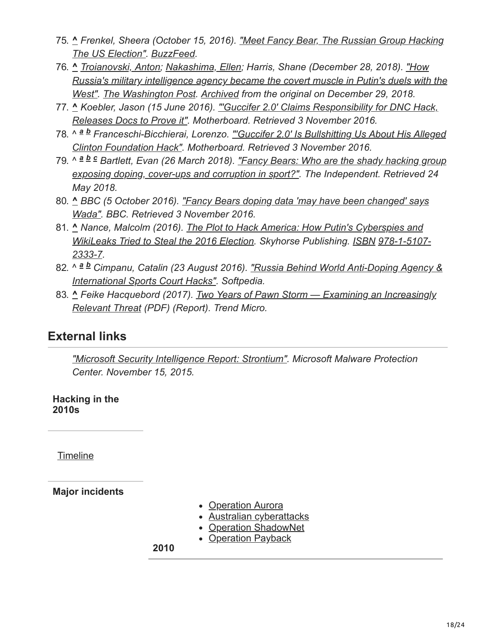- 75. **^** *[Frenkel, Sheera \(October 15, 2016\). "Meet Fancy Bear, The Russian Group Hacking](https://www.buzzfeed.com/sheerafrenkel/meet-fancy-bear-the-russian-group-hacking-the-us-election) The US Election". [BuzzFeed.](https://en.wikipedia.org/wiki/BuzzFeed)*
- 76. **^** *[Troianovski, Anton;](https://en.wikipedia.org/wiki/Anton_Troianovski) [Nakashima, Ellen;](https://en.wikipedia.org/wiki/Ellen_Nakashima) Harris, Shane (December 28, 2018). "How [Russia's military intelligence agency became the covert muscle in Putin's duels with the](https://www.washingtonpost.com/world/europe/how-russias-military-intelligence-agency-became-the-covert-muscle-in-putins-duels-with-the-west/2018/12/27/2736bbe2-fb2d-11e8-8c9a-860ce2a8148f_story.html) West". [The Washington Post.](https://en.wikipedia.org/wiki/The_Washington_Post) [Archived](https://web.archive.org/web/20181229141356/https://www.washingtonpost.com/world/europe/how-russias-military-intelligence-agency-became-the-covert-muscle-in-putins-duels-with-the-west/2018/12/27/2736bbe2-fb2d-11e8-8c9a-860ce2a8148f_story.html) from the original on December 29, 2018.*
- 77. **^** *[Koebler, Jason \(15 June 2016\). "'Guccifer 2.0' Claims Responsibility for DNC Hack,](http://motherboard.vice.com/read/guccifer-20-claims-responsibility-for-dnc-hack-releases-documents) Releases Docs to Prove it". Motherboard. Retrieved 3 November 2016.*
- 78. ^ ª b Franceschi-Bicchierai, Lorenzo. <u>"'Guccifer 2.0' Is Bullshitting Us About His Alleged</u> *Clinton Foundation Hack". Motherboard. Retrieved 3 November 2016.*
- 79. ^ *Bartlett, Evan (26 March 2018). "Fancy Bears: Who are the shady hacking group a b c [exposing doping, cover-ups and corruption in sport?". The Independent. Retrieved 24](https://www.independent.co.uk/sport/football/news-and-comment/fancy-bears-who-are-hacking-group-doping-sport-football-russia-georgia-reedie-bach-a7906376.html) May 2018.*
- 80. **^** *[BBC \(5 October 2016\). "Fancy Bears doping data 'may have been changed' says](https://www.bbc.com/sport/37570246) Wada". BBC. Retrieved 3 November 2016.*
- 81. **^** *[Nance, Malcolm \(2016\). The Plot to Hack America: How Putin's Cyberspies and](https://en.wikipedia.org/wiki/The_Plot_to_Hack_America) [WikiLeaks Tried to Steal the 2016 Election. Skyhorse Publishing. I](https://en.wikipedia.org/wiki/Special:BookSources/978-1-5107-2333-7)[SBN](https://en.wikipedia.org/wiki/ISBN_(identifier)) 978-1-5107- 2333-7.*
- 82. ^ ª b Cimpanu, Catalin (23 August 2016). <u>"Russia Behind World Anti-Doping Agency &</u> *International Sports Court Hacks". Softpedia.*
- 83. **^** *[Feike Hacquebord \(2017\). Two Years of Pawn Storm Examining an Increasingly](https://documents.trendmicro.com/assets/wp/wp-two-years-of-pawn-storm.pdf) Relevant Threat (PDF) (Report). Trend Micro.*

### **External links**

*["Microsoft Security Intelligence Report: Strontium"](https://blogs.technet.microsoft.com/mmpc/2015/11/16/microsoft-security-intelligence-report-strontium/). Microsoft Malware Protection Center. November 15, 2015.*

**Hacking in the 2010s**

**[Timeline](https://en.wikipedia.org/wiki/Timeline_of_computer_security_hacker_history#2010s)** 

**Major incidents**

- [Operation Aurora](https://en.wikipedia.org/wiki/Operation_Aurora)
- [Australian cyberattacks](https://en.wikipedia.org/wiki/February_2010_Australian_cyberattacks)
- [Operation ShadowNet](https://en.wikipedia.org/wiki/Shadow_Network)
- [Operation Payback](https://en.wikipedia.org/wiki/Operation_Payback)

**2010**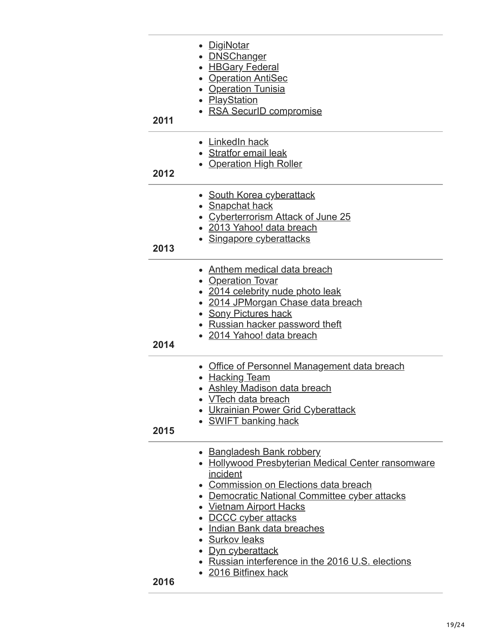| 2011 | <u>DigiNotar</u><br>• <b>DNSChanger</b><br>• HBGary Federal<br>• Operation AntiSec<br>• Operation Tunisia<br>• PlayStation<br>• RSA SecurID compromise                                                                                                                                                                                                                                              |
|------|-----------------------------------------------------------------------------------------------------------------------------------------------------------------------------------------------------------------------------------------------------------------------------------------------------------------------------------------------------------------------------------------------------|
| 2012 | • LinkedIn hack<br><b>Stratfor email leak</b><br>• Operation High Roller                                                                                                                                                                                                                                                                                                                            |
| 2013 | • South Korea cyberattack<br><u>Snapchat hack</u><br><b>Cyberterrorism Attack of June 25</b><br>• 2013 Yahoo! data breach<br>• Singapore cyberattacks                                                                                                                                                                                                                                               |
| 2014 | <b>Anthem medical data breach</b><br>• Operation Tovar<br>• 2014 celebrity nude photo leak<br>• 2014 JPMorgan Chase data breach<br><b>Sony Pictures hack</b><br>Russian hacker password theft<br>• 2014 Yahoo! data breach                                                                                                                                                                          |
| 2015 | <b>Office of Personnel Management data breach</b><br><b>Hacking Team</b><br>• Ashley Madison data breach<br><b>VTech data breach</b><br><b>Ukrainian Power Grid Cyberattack</b><br><b>SWIFT banking hack</b>                                                                                                                                                                                        |
| 2016 | <b>Bangladesh Bank robbery</b><br>• Hollywood Presbyterian Medical Center ransomware<br>incident<br>• Commission on Elections data breach<br>• Democratic National Committee cyber attacks<br>• Vietnam Airport Hacks<br>• DCCC cyber attacks<br>• Indian Bank data breaches<br>· Surkov leaks<br><u>Dyn cyberattack</u><br>Russian interference in the 2016 U.S. elections<br>• 2016 Bitfinex hack |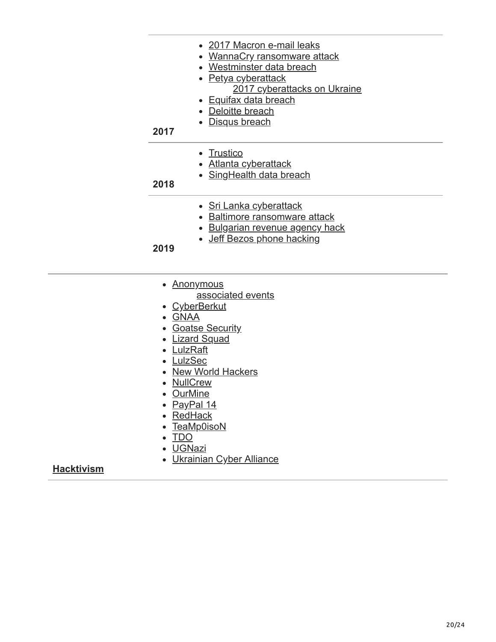- [2017 Macron e-mail leaks](https://en.wikipedia.org/wiki/2017_Macron_e-mail_leaks)
- [WannaCry ransomware attack](https://en.wikipedia.org/wiki/WannaCry_ransomware_attack)
- [Westminster data breach](https://en.wikipedia.org/wiki/2017_Westminster_data_breach)
- [Petya cyberattack](https://en.wikipedia.org/wiki/Petya_(malware)) [2017 cyberattacks on Ukraine](https://en.wikipedia.org/wiki/2017_cyberattacks_on_Ukraine)
	- [Equifax data breach](https://en.wikipedia.org/wiki/2017_Equifax_data_breach)
- [Deloitte breach](https://en.wikipedia.org/wiki/Deloitte#E-mail_hack)
- [Disqus breach](https://en.wikipedia.org/wiki/Disqus#October_2017_security_breach)

#### **2017**

- [Trustico](https://en.wikipedia.org/wiki/Trustico#DigiCert_and_Trustico_spat,_2018)
- [Atlanta cyberattack](https://en.wikipedia.org/wiki/Atlanta_government_ransomware_attack)
- [SingHealth data breach](https://en.wikipedia.org/wiki/2018_SingHealth_data_breach)

#### **2018**

- [Sri Lanka cyberattack](https://en.wikipedia.org/wiki/2019_cyberattacks_on_Sri_Lanka)
- [Baltimore ransomware attack](https://en.wikipedia.org/wiki/2019_Baltimore_ransomware_attack)
- [Bulgarian revenue agency hack](https://en.wikipedia.org/wiki/2019_Bulgarian_revenue_agency_hack)
- [Jeff Bezos phone hacking](https://en.wikipedia.org/wiki/Jeff_Bezos_phone_hacking)

#### **2019**

- [Anonymous](https://en.wikipedia.org/wiki/Anonymous_(group))
	- [associated events](https://en.wikipedia.org/wiki/Timeline_of_events_associated_with_Anonymous)
- [CyberBerkut](https://en.wikipedia.org/wiki/CyberBerkut)
- [GNAA](https://en.wikipedia.org/wiki/Gay_Nigger_Association_of_America)
- [Goatse Security](https://en.wikipedia.org/wiki/Goatse_Security)
- [Lizard Squad](https://en.wikipedia.org/wiki/Lizard_Squad)
- [LulzRaft](https://en.wikipedia.org/wiki/LulzRaft)
- [LulzSec](https://en.wikipedia.org/wiki/LulzSec)
- [New World Hackers](https://en.wikipedia.org/wiki/2016_Dyn_cyberattack#Perpetrators)
- [NullCrew](https://en.wikipedia.org/wiki/NullCrew)
- [OurMine](https://en.wikipedia.org/wiki/OurMine)
- [PayPal 14](https://en.wikipedia.org/wiki/PayPal_14)
- [RedHack](https://en.wikipedia.org/wiki/RedHack)
- [TeaMp0isoN](https://en.wikipedia.org/wiki/TeaMp0isoN)
- [TDO](https://en.wikipedia.org/wiki/The_Dark_Overlord_(hacker_group))
- [UGNazi](https://en.wikipedia.org/wiki/UGNazi)
- [Ukrainian Cyber Alliance](https://en.wikipedia.org/wiki/Ukrainian_Cyber_Alliance)

#### **[Hacktivism](https://en.wikipedia.org/wiki/Hacktivism)**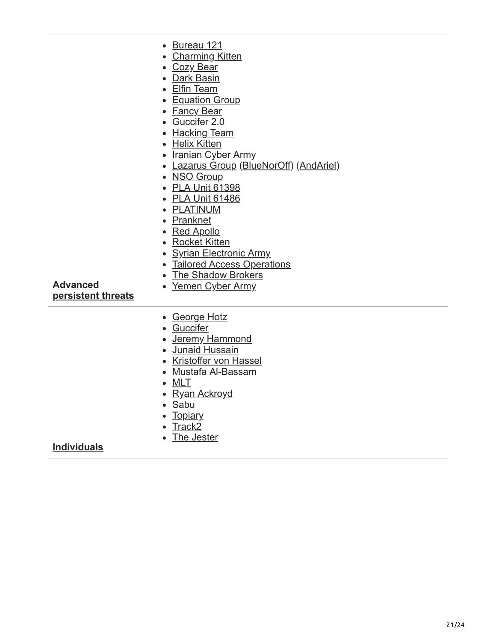| r | IJ<br>rеa<br>IĽ |  |
|---|-----------------|--|
|   |                 |  |

- [Charming Kitten](https://en.wikipedia.org/wiki/Charming_Kitten)
- [Cozy Bear](https://en.wikipedia.org/wiki/Cozy_Bear)
- [Dark Basin](https://en.wikipedia.org/wiki/Dark_Basin)
- [Elfin Team](https://en.wikipedia.org/wiki/Elfin_Team)
- [Equation Group](https://en.wikipedia.org/wiki/Equation_Group)
- Fancy Bear
- [Guccifer 2.0](https://en.wikipedia.org/wiki/Guccifer_2.0)
- [Hacking Team](https://en.wikipedia.org/wiki/Hacking_Team)
- [Helix Kitten](https://en.wikipedia.org/wiki/Helix_Kitten)
- [Iranian Cyber Army](https://en.wikipedia.org/wiki/Iranian_Cyber_Army)
- [Lazarus Group](https://en.wikipedia.org/wiki/Lazarus_Group) [\(BlueNorOff](https://en.wikipedia.org/wiki/Lazarus_Group#BlueNorOff)) ([AndAriel\)](https://en.wikipedia.org/wiki/Lazarus_Group#AndAriel)
- [NSO Group](https://en.wikipedia.org/wiki/NSO_Group)
- [PLA Unit 61398](https://en.wikipedia.org/wiki/PLA_Unit_61398)
- [PLA Unit 61486](https://en.wikipedia.org/wiki/PLA_Unit_61486)
- [PLATINUM](https://en.wikipedia.org/wiki/PLATINUM_(cybercrime_group))
- [Pranknet](https://en.wikipedia.org/wiki/Pranknet)
- [Red Apollo](https://en.wikipedia.org/wiki/Red_Apollo)
- [Rocket Kitten](https://en.wikipedia.org/wiki/Rocket_Kitten)
- [Syrian Electronic Army](https://en.wikipedia.org/wiki/Syrian_Electronic_Army)
- [Tailored Access Operations](https://en.wikipedia.org/wiki/Tailored_Access_Operations)
- [The Shadow Brokers](https://en.wikipedia.org/wiki/The_Shadow_Brokers) • [Yemen Cyber Army](https://en.wikipedia.org/wiki/Yemen_Cyber_Army)

**Advanced [persistent threats](https://en.wikipedia.org/wiki/Advanced_persistent_threat)**

- [George Hotz](https://en.wikipedia.org/wiki/George_Hotz)
- [Guccifer](https://en.wikipedia.org/wiki/Guccifer)
- [Jeremy Hammond](https://en.wikipedia.org/wiki/Jeremy_Hammond)
- [Junaid Hussain](https://en.wikipedia.org/wiki/Junaid_Hussain)
- [Kristoffer von Hassel](https://en.wikipedia.org/wiki/Kristoffer_von_Hassel)
- [Mustafa Al-Bassam](https://en.wikipedia.org/wiki/Mustafa_Al-Bassam)
- [MLT](https://en.wikipedia.org/wiki/MLT_(hacktivist))
- [Ryan Ackroyd](https://en.wikipedia.org/wiki/Ryan_Ackroyd)
- [Sabu](https://en.wikipedia.org/wiki/Hector_Monsegur)
- [Topiary](https://en.wikipedia.org/wiki/Topiary_(hacktivist))
- $\bullet$  [Track2](https://en.wikipedia.org/wiki/Roman_Seleznev)
- [The Jester](https://en.wikipedia.org/wiki/The_Jester_(hacktivist))

#### **[Individuals](https://en.wikipedia.org/wiki/Hacker)**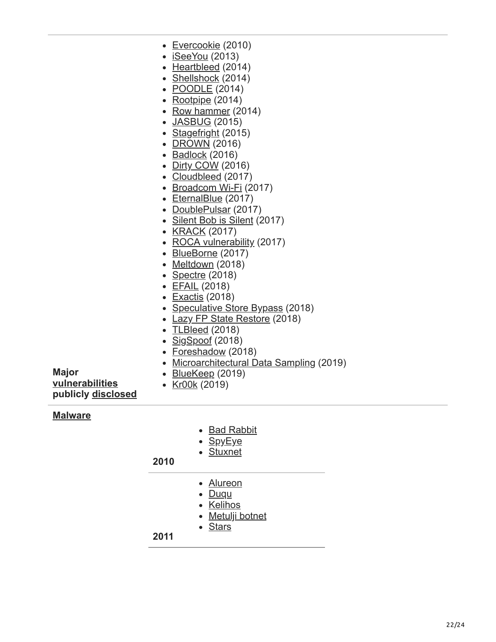- [Evercookie](https://en.wikipedia.org/wiki/Evercookie) (2010)
- [iSeeYou](https://en.wikipedia.org/wiki/ISeeYou) (2013)
- [Heartbleed](https://en.wikipedia.org/wiki/Heartbleed) (2014)
- [Shellshock](https://en.wikipedia.org/wiki/Shellshock_(software_bug)) (2014)
- [POODLE](https://en.wikipedia.org/wiki/POODLE) (2014)
- [Rootpipe](https://en.wikipedia.org/wiki/Rootpipe) (2014)
- [Row hammer](https://en.wikipedia.org/wiki/Row_hammer)  $(2014)$
- [JASBUG](https://en.wikipedia.org/wiki/JASBUG) (2015)
- [Stagefright](https://en.wikipedia.org/wiki/Stagefright_(bug)) (2015)
- [DROWN](https://en.wikipedia.org/wiki/DROWN_attack) (2016)
- [Badlock](https://en.wikipedia.org/wiki/Badlock) (2016)
- [Dirty COW](https://en.wikipedia.org/wiki/Dirty_COW) (2016)
- [Cloudbleed](https://en.wikipedia.org/wiki/Cloudbleed) (2017)
- [Broadcom Wi-Fi](https://en.wikipedia.org/wiki/Broadcom_Corporation#soc-wifi-vulns) (2017)
- [EternalBlue](https://en.wikipedia.org/wiki/EternalBlue) (2017)
- [DoublePulsar](https://en.wikipedia.org/wiki/DoublePulsar) (2017)
- [Silent Bob is Silent](https://en.wikipedia.org/wiki/Intel_Active_Management_Technology#Silent_Bob_is_Silent) (2017)
- [KRACK](https://en.wikipedia.org/wiki/KRACK) (2017)
- [ROCA vulnerability](https://en.wikipedia.org/wiki/ROCA_vulnerability) (2017)
- [BlueBorne](https://en.wikipedia.org/wiki/BlueBorne_(security_vulnerability)) (2017)
- [Meltdown](https://en.wikipedia.org/wiki/Meltdown_(security_vulnerability)) (2018)
- [Spectre](https://en.wikipedia.org/wiki/Spectre_(security_vulnerability))  $(2018)$
- [EFAIL](https://en.wikipedia.org/wiki/EFAIL) (2018)
- [Exactis](https://en.wikipedia.org/wiki/Exactis) (2018)
- [Speculative Store Bypass](https://en.wikipedia.org/wiki/Speculative_Store_Bypass) (2018)
- [Lazy FP State Restore](https://en.wikipedia.org/wiki/Lazy_FP_State_Restore) (2018)
- [TLBleed](https://en.wikipedia.org/wiki/TLBleed) (2018)
- $\cdot$  [SigSpoof](https://en.wikipedia.org/wiki/SigSpoof) (2018)
- [Foreshadow](https://en.wikipedia.org/wiki/Foreshadow) (2018)
- [Microarchitectural Data Sampling](https://en.wikipedia.org/wiki/Microarchitectural_Data_Sampling) (2019)

**Major [vulnerabilities](https://en.wikipedia.org/wiki/Vulnerability_(computing)) publicly [disclosed](https://en.wikipedia.org/wiki/Full_disclosure_(computer_security))**

• [Kr00k](https://en.wikipedia.org/wiki/Kr00k) (2019)

• [BlueKeep](https://en.wikipedia.org/wiki/BlueKeep) (2019)

#### **[Malware](https://en.wikipedia.org/wiki/Malware)**

- [Bad Rabbit](https://en.wikipedia.org/wiki/Ransomware#Bad_Rabbit)
- [SpyEye](https://en.wikipedia.org/wiki/SpyEye)
- [Stuxnet](https://en.wikipedia.org/wiki/Stuxnet)

#### **2010**

- [Alureon](https://en.wikipedia.org/wiki/Alureon)
- [Duqu](https://en.wikipedia.org/wiki/Duqu)
- [Kelihos](https://en.wikipedia.org/wiki/Kelihos_botnet)
- [Metulji botnet](https://en.wikipedia.org/wiki/Metulji_botnet)
- [Stars](https://en.wikipedia.org/wiki/Stars_virus)

**2011**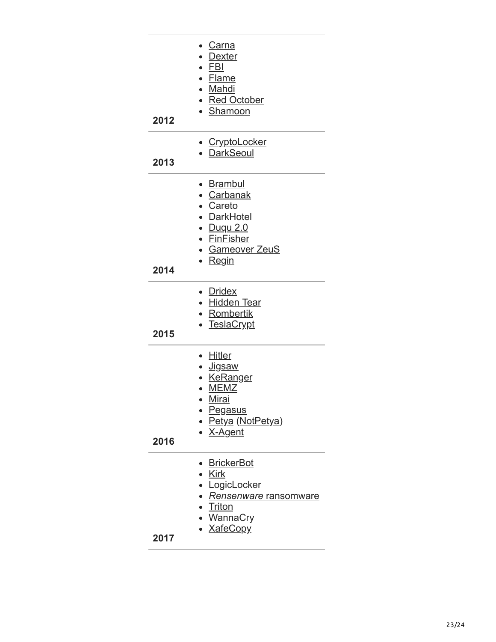| 2012 | <u>Carna</u><br>• Dexter<br>$\cdot$ FBI<br>• Flame<br>· Mahdi<br>• Red October<br>• Shamoon                                                                               |
|------|---------------------------------------------------------------------------------------------------------------------------------------------------------------------------|
| 2013 | <b>CryptoLocker</b><br>• DarkSeoul                                                                                                                                        |
| 2014 | • Brambul<br>• Carbanak<br>• Careto<br>• DarkHotel<br>• Duqu 2.0<br>• FinFisher<br>• Gameover ZeuS<br>∙ <u>Regin</u>                                                      |
| 2015 | • Dridex<br>• <u>Hidden Tear</u><br><u>• Rombertik</u><br><b>TeslaCrypt</b>                                                                                               |
| 2016 | <b>Hitler</b><br>$\bullet$<br>· Jigsaw<br><b>KeRanger</b><br>$\bullet$<br><b>MEMZ</b><br>$\bullet$<br><u>Mirai</u><br>• <u>Pegasus</u><br>• Petya (NotPetya)<br>• X-Agent |
| 2017 | <b>BrickerBot</b><br><b>Kirk</b><br>LogicLocker<br>Rensenware ransomware<br><b>Triton</b><br><u>WannaCry</u><br>• <u>XafeCopy</u>                                         |